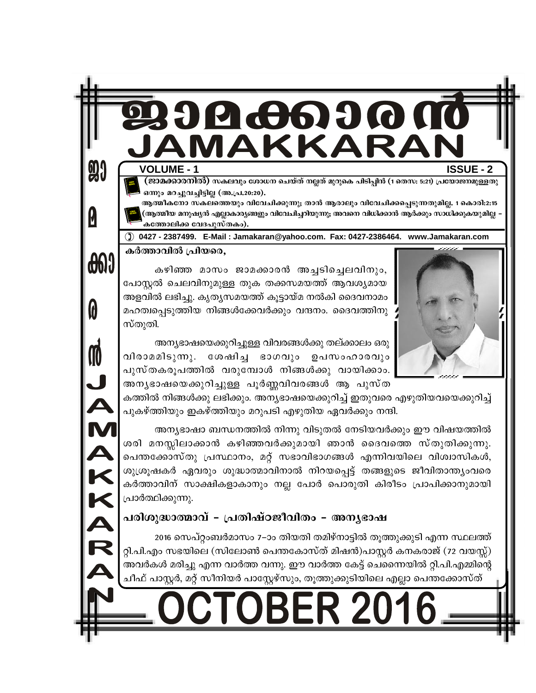**VOLUME - 1** 

**90** 

**6600** 

n

İ

DZV.

KKAR

**ISSUE - 2** 

(ജാമക്കാരനിൽ) സകലവും ശോധന ചെയ്ത് നല്ലത് മുറുകെ പിടിപ്പിൻ (1 തെസ: 5:21) പ്രയോജനമുള്ളതു ഒന്നും മറച്ചുവച്ചിട്ടില്ല (അ.പ്ര.20:20).

4666

1AKKA

ആത്മീകനോ സകലത്തെയും വിവേചിക്കുന്നു; താൻ ആരാലും വിവേചിക്കപ്പെടുന്നതുമില്ല. 1 കൊരി:2:15 (ആത്മീയ മനുഷ്യൻ എല്ലാകാര്യങ്ങളും വിവേചിച്ചറിയുന്നു; അവനെ വിധിക്കാൻ ആർക്കും സാധിക്കുകയുമില്ല -കത്തോലിക്ക വേദപുസ്തകം).

(1) 0427 - 2387499. E-Mail: Jamakaran@yahoo.com. Fax: 0427-2386464. www.Jamakaran.com

കർത്താവിൽ പ്രിയരെ,

കഴിഞ്ഞ മാസം ജാമക്കാരൻ അച്ചടിച്ചെലവിനും, പോസ്റ്റൽ ചെലവിനുമുള്ള തുക തക്കസമയത്ത് ആവശ്യമായ അളവിൽ ലഭിച്ചു. കൃതൃസമയത്ത് കൂട്ടായ്മ നൽകി ദൈവനാമം മഹത്വപ്പെടുത്തിയ നിങ്ങൾക്കേവർക്കും വന്ദനം. ദൈവത്തിനു സ്തുതി.



അന്യഭാഷയെക്കുറിച്ചുള്ള വിവരങ്ങൾക്കു തല്ക്കാലം ഒരു വിരാമമിടുന്നു. ശേഷിച്ച ഭാഗവും ഉപസംഹാരവും പുസ്തകരൂപത്തിൽ വരുമ്പോൾ നിങ്ങൾക്കു വായിക്കാം. അനൃഭാഷയെക്കുറിച്ചുള്ള പൂർണ്ണവിവരങ്ങൾ ആ പുസ്ത

കത്തിൽ നിങ്ങൾക്കു ലഭിക്കും. അന്യഭാഷയെക്കുറിച്ച് ഇതുവരെ എഴുതിയവയെക്കുറിച്ച് പുകഴ്ത്തിയും ഇകഴ്ത്തിയും മറുപടി എഴുതിയ ഏവർക്കും നന്ദി.

അന്യഭാഷാ ബന്ധനത്തിൽ നിന്നു വിടുതൽ നേടിയവർക്കും ഈ വിഷയത്തിൽ ശരി മനസ്സിലാക്കാൻ കഴിഞ്ഞവർക്കുമായി ഞാൻ ദൈവത്തെ സ്തുതിക്കുന്നു. പെന്തക്കോസ്തു പ്രസ്ഥാനം, മറ്റ് സഭാവിഭാഗങ്ങൾ എന്നിവയിലെ വിശ്വാസികൾ, ശുശ്രൂഷകർ ഏവരും ശുദ്ധാത്മാവിനാൽ നിറയപ്പെട്ട് തങ്ങളുടെ ജീവിതാന്ത്യംവരെ കർത്താവിന് സാക്ഷികളാകാനും നല്ല പോർ പൊരുതി കിരീടം പ്രാപിക്കാനുമായി പ്രാർത്ഥിക്കുന്നു.

## പരിശുദ്ധാത്മാവ് - പ്രതിഷ്ഠജീവിതം - അനൃഭാഷ

2016 സെപ്റ്റംബർമാസം 7–ാം തിയതി തമിഴ്നാട്ടിൽ തൂത്തുക്കുടി എന്ന സ്ഥലത്ത് റ്റി.പി.എം സഭയിലെ (സിലോൺ പെന്തകോസ്ത് മിഷൻ)പാസ്റ്റർ കനകരാജ് (72 വയസ്സ്) അവർകൾ മരിച്ചു എന്ന വാർത്ത വന്നു. ഈ വാർത്ത കേട്ട് ചെന്നൈയിൽ റ്റി.പി.എമ്മിന്റെ ചീഫ് പാസ്റ്റർ, മറ്റ് സീനിയർ പാസ്റ്റേഴ്സും, തൂത്തുക്കുടിയിലെ എല്ലാ പെന്തക്കോസ്ത്

**OBER 201**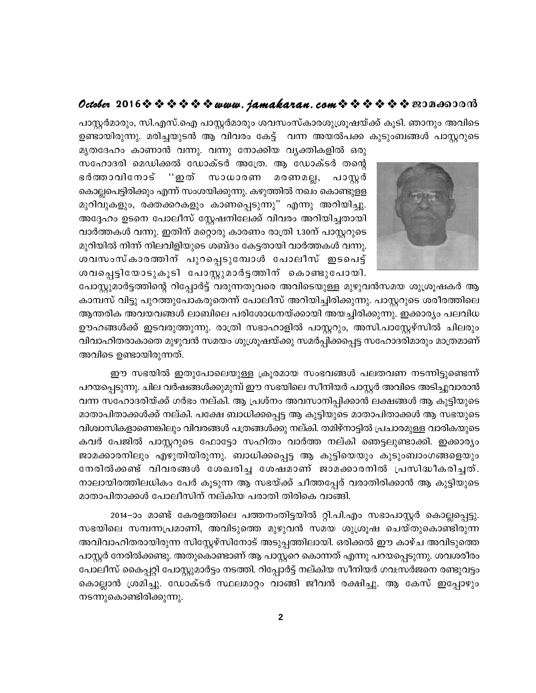## October 2016  $\diamond$   $\diamond$   $\diamond$   $\diamond$   $\diamond$   $\diamond$  www.jamakaran.com  $\diamond$   $\diamond$   $\diamond$   $\diamond$   $\diamond$   $\diamond$   $\diamond$  200 as 300

പാസ്റ്റർമാരും, സി.എസ്.ഐ പാസ്റ്റർമാരും ശവസംസ്കാരശുശ്രൂഷയ്ക്ക് കൂടി. ഞാനും അവിടെ ഉണ്ടായിരുന്നു. മരിച്ചയുടൻ ആ വിവരം കേട്ട് വന്ന അയൽപക്ക കുടുംബങ്ങൾ പാസ്കറുടെ



മൃതദേഹം കാണാൻ വന്നു. വന്നു നോക്കിയ വ്യക്തികളിൽ ഒരു സഹോദരി മെഡിക്കൽ ഡോക്ടർ അത്രേ. ആ ഡോക്ടർ തന്റെ ഭർത്താവിനോട് ''ഇത് സാധാരണ മരണമല്ല, പാസ്റ്റർ കൊല്ലപെട്ടിരിക്കും എന്ന് സംശയിക്കുന്നു. കഴുത്തിൽ നഖം കൊണ്ടുളള മുറിവുകളും, രക്തക്കറകളും കാണപ്പെടുന്നു" എന്നു അറിയിച്ചു. അദ്ദേഹം ഉടനെ പോലീസ് സ്റ്റേഷനിലേക്ക് വിവരം അറിയിച്ചതായി വാർത്തകൾ വന്നു. ഇതിന് മറ്റൊരു കാരണം രാത്രി 1.30ന് പാസ്റ്ററുടെ മുറിയിൽ നിന്ന് നിലവിളിയുടെ ശബ്ദം കേട്ടതായി വാർത്തകൾ വന്നു. ശവസംസ്കാരത്തിന് പുറപ്പെടുമ്പോൾ പോലീസ് ഇടപെട്ട് ശവപ്പെട്ടിയോടുകൂടി പോസ്റ്റുമാർട്ടത്തിന് കൊണ്ടുപോയി.

പോസ്റ്റുമാർട്ടത്തിന്റെ റിപ്പോർട്ട് വരുന്നതുവരെ അവിടെയുള്ള മുഴുവൻസമയ ശുശ്രൂഷകർ ആ കാമ്പസ് വിട്ടു പുറത്തുപോകരുതെന്ന് പോലീസ് അറിയിച്ചിരിക്കുന്നു. പാസ്റ്ററുടെ ശരീരത്തിലെ ആന്തരിക അവയവങ്ങൾ ലാബിലെ പരിശോധനയ്ക്കായി അയച്ചിരിക്കുന്നു. ഇക്കാര്യം പലവിധ ഊഹങ്ങൾക്ക് ഇടവരുത്തുന്നു. രാത്രി സഭാഹാളിൽ പാസ്റ്ററും, അസി.പാസ്റ്റേഴ്സിൽ ചിലരും വിവാഹിതരാകാതെ മുഴുവൻ സമയം ശുശ്രൂഷയ്ക്കു സമർപ്പിക്കപ്പെട്ട സഹോദരിമാരും മാത്രമാണ് അവിടെ ഉണ്ടായിരുന്നത്.

ഈ സഭയിൽ ഇതുപോലെയുള്ള ക്രൂരമായ സംഭവങ്ങൾ പലതവണ നടന്നിട്ടുണ്ടെന്ന് പറയപ്പെടുന്നു. ചില വർഷങ്ങൾക്കുമുമ്പ് ഈ സഭയിലെ സീനിയർ പാസ്റ്റർ അവിടെ അടിച്ചുവാരാൻ വന്ന സഹോദരിയ്ക്ക് ഗർഭം നല്കി. ആ പ്രശ്നം അവസാനിപ്പിക്കാൻ ലക്ഷങ്ങൾ ആ കുട്ടിയുടെ മാതാപിതാക്കൾക്ക് നല്കി. പക്ഷേ ബാധിക്കപ്പെട്ട ആ കുട്ടിയുടെ മാതാപിതാക്കൾ ആ സഭയുടെ വിശ്വാസികളാണെങ്കിലും വിവരങ്ങൾ പത്രങ്ങൾക്കു നല്കി. തമിഴ്നാട്ടിൽ പ്രചാരമുള്ള വാരികയുടെ കവർ പേജിൽ പാസ്റ്ററുടെ ഫോട്ടോ സഹിതം വാർത്ത നല്കി ഞെട്ടലുണ്ടാക്കി. ഇക്കാര്യം ജാമക്കാരനിലും എഴുതിയിരുന്നു. ബാധിക്കപ്പെട്ട ആ കുട്ടിയെയും കുടുംബാംഗങ്ങളെയും നേരിൽക്കണ്ട് വിവരങ്ങൾ ശേഖരിച്ച ശേഷമാണ് ജാമക്കാരനിൽ പ്രസിദ്ധീകരിച്ചത്. നാലായിരത്തിലധികം പേർ കൂടുന്ന ആ സഭയ്ക്ക് ചീത്തപ്പേര് വരാതിരിക്കാൻ ആ കുട്ടിയുടെ മാതാപിതാക്കൾ പോലീസിന് നല്കിയ പരാതി തിരികെ വാങ്ങി.

2014–ാം മാണ്ട് കേരളത്തിലെ പത്തനംതിട്ടയിൽ റ്റി.പി.എം സഭാപാസ്റ്റർ കൊല്ലപ്പെട്ടു. സഭയിലെ സമ്പന്നപ്രമാണി, അവിടുത്തെ മുഴുവൻ സമയ ശുശ്രൂഷ ചെയ്തുകൊണ്ടിരുന്ന അവിവാഹിതരായിരുന്ന സിസ്റ്റേഴ്സിനോട് അടുപ്പത്തിലായി. ഒരിക്കൽ ഈ കാഴ്ച അവിടുത്തെ പാസ്റ്റർ നേരിൽക്കണ്ടു. അതുകൊണ്ടാണ് ആ പാസ്റ്ററെ കൊന്നത് എന്നു പറയപ്പെടുന്നു. ശവശരീരം പോലീസ് കൈപ്പറ്റി പോസ്റ്റുമാർട്ടം നടത്തി. റിപ്പോർട്ട് നല്കിയ സീനിയർ ഗവ:സർജനെ രണ്ടുവട്ടം കൊല്ലാൻ ശ്രമിച്ചു. ഡോക്ടർ സ്ഥലമാറ്റം വാങ്ങി ജീവൻ രക്ഷിച്ചു. ആ കേസ് ഇപ്പോഴും നടന്നുകൊണ്ടിരിക്കുന്നു.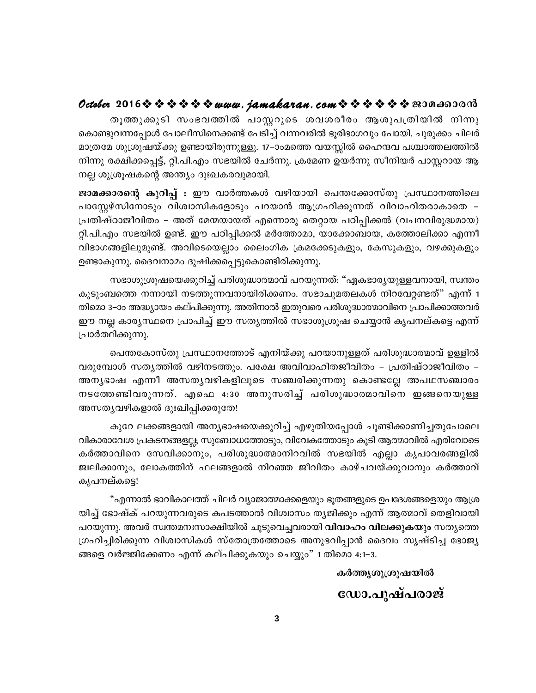തൂത്തുക്കുടി സംഭവത്തിൽ പാസ്റ്ററുടെ ശവശരീരം ആശുപത്രിയിൽ നിന്നു കൊണ്ടുവന്നപ്പോൾ പോലീസിനെക്കണ്ട് പേടിച്ച് വന്നവരിൽ ഭൂരിഭാഗവും പോയി. ചുരുക്കം ചിലർ മാത്രമേ ശുശ്രൂഷയ്ക്കു ഉണ്ടായിരുന്നുള്ളൂ. 17–ാംമത്തെ വയസ്സിൽ ഹൈന്ദവ പശ്ചാത്തലത്തിൽ നിന്നു രക്ഷിക്കപ്പെട്ട്, റ്റി.പി.എം സഭയിൽ ചേർന്നു. ക്രമേണ ഉയർന്നു സീനിയർ പാസ്റ്ററായ ആ നല്ല ശുശ്രൂഷകന്റെ അന്ത്യം ദുഃഖകരവുമായി.

ജാമക്കാരന്റെ കുറിപ്പ് : ഈ വാർത്തകൾ വഴിയായി പെന്തക്കോസ്തു പ്രസ്ഥാനത്തിലെ പാസ്റ്റേഴ്സിനോടും വിശ്വാസികളോടും പറയാൻ ആഗ്രഹിക്കുന്നത് വിവാഹിതരാകാതെ – പ്രതിഷ്ഠാജീവിതം – അത് മേന്മയായത് എന്നൊരു തെറ്റായ പഠിപ്പിക്കൽ (വചനവിരുദ്ധമായ) റ്റി.പി.എം സഭയിൽ ഉണ്ട്. ഈ പഠിപ്പിക്കൽ മർത്തോമാ, യാക്കോബായ, കത്തോലിക്കാ എന്നീ വിഭാഗങ്ങളിലുമുണ്ട്. അവിടെയെല്ലാം ലൈംഗിക ക്രമക്കേടുകളും, കേസുകളും, വഴക്കുകളും ഉണ്ടാകുന്നു. ദൈവനാമം ദുഷിക്കപ്പെട്ടുകൊണ്ടിരിക്കുന്നു.

സഭാശുശ്രുഷയെക്കുറിച്ച് പരിശുദ്ധാത്മാവ് പറയുന്നത്: "ഏകഭാര്യയുള്ളവനായി, സ്വന്തം കുടുംബത്തെ നന്നായി നടത്തുന്നവനായിരിക്കണം. സഭാചുമതലകൾ നിറവേറ്റണ്ടത്" എന്ന് 1 തിമൊ 3–ാം അദ്ധ്യായം കല്പിക്കുന്നു. അതിനാൽ ഇതുവരെ പരിശുദ്ധാത്മാവിനെ പ്രാപിക്കാത്തവർ ഈ നല്ല കാര്യസ്ഥനെ പ്രാപിച്ച് ഈ സത്യത്തിൽ സഭാശുശ്രൂഷ ചെയ്യാൻ കൃപനല്കട്ടെ എന്ന് പ്രാർത്ഥിക്കുന്നു.

പെന്തകോസ്തു പ്രസ്ഥാനത്തോട് എനിയ്ക്കു പറയാനുള്ളത് പരിശുദ്ധാത്മാവ് ഉള്ളിൽ വരുമ്പോൾ സതൃത്തിൽ വഴിനടത്തും. പക്ഷേ അവിവാഹിതജീവിതം – പ്രതിഷ്ഠാജീവിതം – അന്യഭാഷ എന്നീ അസത്യവഴികളിലൂടെ സഞ്ചരിക്കുന്നതു കൊണ്ടല്ലേ അപഥസഞ്ചാരം നടത്തേണ്ടിവരുന്നത്. എഫെ 4:30 അനുസരിച്ച് പരിശുദ്ധാത്മാവിനെ ഇങ്ങനെയുള്ള അസതൃവഴികളാൽ ദുഃഖിപ്പിക്കരുതേ!

കുറേ ലക്കങ്ങളായി അന്യഭാഷയെക്കുറിച്ച് എഴുതിയപ്പോൾ ചൂണ്ടിക്കാണിച്ചതുപോലെ വികാരാവേശ പ്രകടനങ്ങളല്ല; സുബോധത്തോടും, വിവേകത്തോടും കൂടി ആത്മാവിൽ എരിവോടെ കർത്താവിനെ സേവിക്കാനും, പരിശുദ്ധാത്മാനിറവിൽ സഭയിൽ എല്ലാ കൃപാവരങ്ങളിൽ ജ്വലിക്കാനും, ലോകത്തിന് ഫലങ്ങളാൽ നിറഞ്ഞ ജീവിതം കാഴ്ചവയ്ക്കുവാനും കർത്താവ് കൃപനല്കടെ!

"എന്നാൽ ഭാവികാലത്ത് ചിലർ വ്യാജാത്മാക്കളെയും ഭൂതങ്ങളുടെ ഉപദേശങ്ങളെയും ആശ്ര യിച്ച് ഭോഷ്ക് പറയുന്നവരുടെ കപടത്താൽ വിശ്വാസം തൃജിക്കും എന്ന് ആത്മാവ് തെളിവായി പറയുന്നു. അവർ സ്വന്തമനഃസാക്ഷിയിൽ ചൂടുവെച്ചവരായി **വിവാഹം വിലക്കുകയും** സതൃത്തെ ഗ്രഹിച്ചിരിക്കുന്ന വിശ്വാസികൾ സ്തോത്രത്തോടെ അനുഭവിപ്പാൻ ദൈവം സൃഷ്ടിച്ച ഭോജ്യ ങ്ങളെ വർജ്ജിക്കേണം എന്ന് കല്പിക്കുകയും ചെയ്യും" 1 തിമൊ 4:1–3.

#### കർത്തൃശുശ്രൂഷയിൽ

## ഡോ.പുഷ്പരാജ്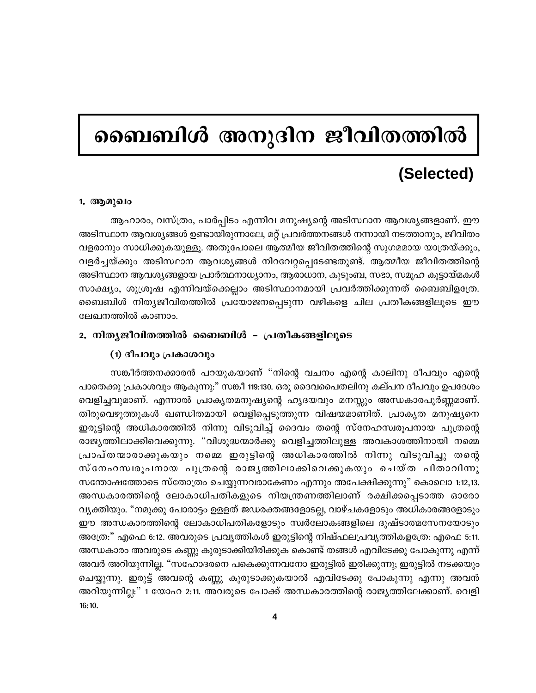## ബൈബിൾ അനുദിന ജീവിതത്തിൽ

## (Selected)

#### 1. ആമുഖം

ആഹാരം, വസ്ത്രം, പാർപ്പിടം എന്നിവ മനുഷ്യന്റെ അടിസ്ഥാന ആവശ്യങ്ങളാണ്. ഈ അടിസ്ഥാന ആവശ്യങ്ങൾ ഉണ്ടായിരുന്നാലേ, മറ്റ് പ്രവർത്തനങ്ങൾ നന്നായി നടത്താനും, ജീവിതം വളരാനും സാധിക്കുകയുള്ളു. അതുപോലെ ആത്മീയ ജീവിതത്തിന്റെ സുഗമമായ യാത്രയ്ക്കും, വളർച്ചയ്ക്കും അടിസ്ഥാന ആവശ്യങ്ങൾ നിറവേറ്റപ്പെടേണ്ടതുണ്ട്. ആത്മീയ ജീവിതത്തിന്റെ അടിസ്ഥാന ആവശ്യങ്ങളായ പ്രാർത്ഥനാധ്യാനം, ആരാധാന, കുടുംബ, സഭാ, സമൂഹ കൂട്ടായ്മകൾ സാക്ഷ്യം, ശുശ്രൂഷ എന്നിവയ്ക്കെല്ലാം അടിസ്ഥാനമായി പ്രവർത്തിക്കുന്നത് ബൈബിളത്രേ. ബൈബിൾ നിത്യജീവിതത്തിൽ പ്രയോജനപ്പെടുന്ന വഴികളെ ചില പ്രതീകങ്ങളിലൂടെ ഈ ലേഖനത്തിൽ കാണാം.

#### 2. നിത്യജീവിതത്തിൽ ബൈബിൾ - പ്രതീകങ്ങളിലൂടെ

#### (1) ദീപവും പ്രകാശവും

സങ്കീർത്തനക്കാരൻ പറയുകയാണ് "നിന്റെ വചനം എന്റെ കാലിനു ദീപവും എന്റെ പാതെക്കു പ്രകാശവും ആകുന്നു:" സങ്കീ 119:130. ഒരു ദൈവപൈതലിനു കല്പന ദീപവും ഉപദേശം വെളിച്ചവുമാണ്. എന്നാൽ പ്രാകൃതമനുഷ്യന്റെ ഹൃദയവും മനസ്സും അന്ധകാരപൂർണ്ണമാണ്. തിരുവെഴുത്തുകൾ ഖണ്ഡിതമായി വെളിപ്പെടുത്തുന്ന വിഷയമാണിത്. പ്രാകൃത മനുഷ്യനെ ഇരുട്ടിന്റെ അധികാരത്തിൽ നിന്നു വിടുവിച്ച് ദൈവം തന്റെ സ്നേഹസ്വരൂപനായ പുത്രന്റെ രാജ്യത്തിലാക്കിവെക്കുന്നു. "വിശുദ്ധന്മാർക്കു വെളിച്ചത്തിലുള്ള അവകാശത്തിനായി നമ്മെ പ്രാപ്തന്മാരാക്കുകയും നമ്മെ ഇരുട്ടിന്റെ അധികാരത്തിൽ നിന്നു വിടുവിച്ചു തന്റെ സ്നേഹസ്വരൂപനായ പുത്രന്റെ രാജൃത്തിലാക്കിവെക്കുകയും ചെയ്ത പിതാവിന്നു സന്തോഷത്തോടെ സ്തോത്രം ചെയ്യുന്നവരാകേണം എന്നും അപേക്ഷിക്കുന്നു" കൊലൊ 1:12,13. അന്ധകാരത്തിന്റെ ലോകാധിപതികളുടെ നിയന്ത്രണത്തിലാണ് രക്ഷിക്കപ്പെടാത്ത ഓരോ വ്യക്തിയും. "നമുക്കു പോരാട്ടം ഉളളത് ജഡരക്തങ്ങളോടല്ല, വാഴ്ചകളോടും അധികാരങ്ങളോടും ഈ അന്ധകാരത്തിന്റെ ലോകാധിപതികളോടും സ്വർലോകങ്ങളിലെ ദുഷ്ടാത്മസേനയോടും അത്രേ:" എഫെ 6:12. അവരുടെ പ്രവൃത്തികൾ ഇരുട്ടിന്റെ നിഷ്ഫലപ്രവൃത്തികളത്രേ: എഫെ 5:11. അന്ധകാരം അവരുടെ കണ്ണു കുരുടാക്കിയിരിക്കുക കൊണ്ട് തങ്ങൾ എവിടേക്കു പോകുന്നു എന്ന് അവർ അറിയുന്നില്ല. "സഹോദരനെ പകെക്കുന്നവനോ ഇരുട്ടിൽ ഇരിക്കുന്നു; ഇരുട്ടിൽ നടക്കയും ചെയ്യുന്നു. ഇരുട്ട് അവന്റെ കണ്ണു കുരുടാക്കുകയാൽ എവിടേക്കു പോകുന്നു എന്നു അവൻ അറിയുന്നില്ല:" 1 യോഹ 2:11. അവരുടെ പോക്ക് അന്ധകാരത്തിന്റെ രാജ്യത്തിലേക്കാണ്. വെളി  $16:10.$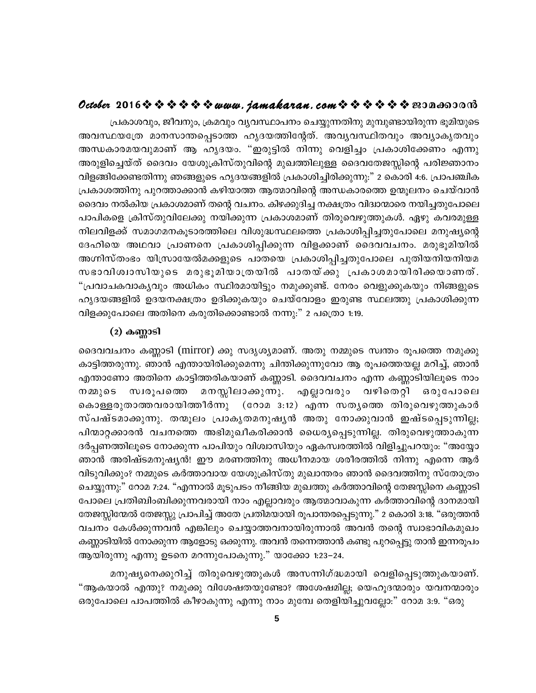## October 2016  $\hat{\mathbf{v}} \hat{\mathbf{v}} \hat{\mathbf{v}} \hat{\mathbf{v}} \hat{\mathbf{v}}$  is  $\mathbf{w}$  we have not concluded to  $\hat{\mathbf{v}} \hat{\mathbf{v}} \hat{\mathbf{v}}$  if  $\hat{\mathbf{v}}$  if  $\hat{\mathbf{v}}$  if  $\hat{\mathbf{v}}$  if  $\hat{\mathbf{v}}$  if  $\hat{\mathbf{v}}$  if  $\hat{\mathbf{v}}$  if  $\hat{\mathbf{v}}$  if

പ്രകാശവും, ജീവനും, ക്രമവും വ്യവസ്ഥാപനം ചെയ്യുന്നതിനു മുമ്പുണ്ടായിരുന്ന ഭൂമിയുടെ അവസ്ഥയത്രേ മാനസാന്തപ്പെടാത്ത ഹൃദയത്തിന്റേത്. അവൃവസ്ഥിതവും അവൃാകൃതവും അന്ധകാരമയവുമാണ് ആ ഹൃദയം. ''ഇരുട്ടിൽ നിന്നു വെളിച്ചം പ്രകാശിക്കേണം എന്നു അരുളിച്ചെയ്ത് ദൈവം യേശുക്രിസ്തുവിന്റെ മുഖത്തിലുള്ള ദൈവതേജസ്സിന്റെ പരിജ്ഞാനം വിളങ്ങിക്കേണ്ടതിന്നു ഞങ്ങളുടെ ഹൃദയങ്ങളിൽ പ്രകാശിച്ചിരിക്കുന്നു:" 2 കൊരി 4:6. പ്രാപഞ്ചിക പ്രകാശത്തിനു പുറത്താക്കാൻ കഴിയാത്ത ആത്മാവിന്റെ അന്ധകാരത്തെ ഉന്മൂലനം ചെയ്വാൻ ദൈവം നൽകിയ പ്രകാശമാണ് തന്റെ വചനം. കിഴക്കുദിച്ച നക്ഷത്രം വിദ്വാന്മാരെ നയിച്ചതുപോലെ പാപികളെ ക്രിസ്തുവിലേക്കു നയിക്കുന്ന പ്രകാശമാണ് തിരുവെഴുത്തുകൾ. ഏഴു കവരമുള്ള നിലവിളക്ക് സമാഗമനകൂടാരത്തിലെ വിശുദ്ധസ്ഥലത്തെ പ്രകാശിപ്പിച്ചതുപോലെ മനുഷ്യന്റെ ദേഹിയെ അഥവാ പ്രാണനെ പ്രകാശിപ്പിക്കുന്ന വിളക്കാണ് ദൈവവചനം. മരുഭൂമിയിൽ അഗ്നിസ്തംഭം യിസ്രായേൽമക്കളുടെ പാതയെ പ്രകാശിപ്പിച്ചതുപോലെ പുതിയനിയനിയമ സഭാവിശ്വാസിയുടെ മരുഭൂമിയാത്രയിൽ പാതയ്ക്കു പ്രകാശമായിരിക്കയാണത്. "പ്രവാചകവാകൃവും അധികം സ്ഥിരമായിട്ടും നമുക്കുണ്ട്. നേരം വെളുക്കുകയും നിങ്ങളുടെ ഹൃദയങ്ങളിൽ ഉദയനക്ഷത്രം ഉദിക്കുകയും ചെയ്വോളം ഇരുണ്ട സ്ഥലത്തു പ്രകാശിക്കുന്ന വിളക്കുപോലെ അതിനെ കരുതിക്കൊണ്ടാൽ നന്നു:" 2 പത്രൊ 1:19.

### $(2)$  കണ്ണാടി

ദൈവവചനം കണ്ണാടി (mirror) ക്കു സദൃശ്യമാണ്. അതു നമ്മുടെ സ്വന്തം രൂപത്തെ നമുക്കു കാട്ടിത്തരുന്നു. ഞാൻ എന്തായിരിക്കുമെന്നു ചിന്തിക്കുന്നുവോ ആ രൂപത്തെയല്ല മറിച്ച്, ഞാൻ എന്താണോ അതിനെ കാട്ടിത്തരികയാണ് കണ്ണാടി. ദൈവവചനം എന്ന കണ്ണാടിയിലൂടെ നാം നമ്മുടെ മനസ്സിലാക്കുന്നു. എല്ലാവരും വഴിതെറ്റി സ്വരൂപത്തെ ഒരുപോലെ കൊള്ളരുതാത്തവരായിത്തീർന്നു (റോമ 3:12) എന്ന സതൃത്തെ തിരുവെഴുത്തുകാർ സ്പഷ്ടമാക്കുന്നു. തന്മൂലം പ്രാകൃതമനുഷൃൻ അതു നോക്കുവാൻ ഇഷ്ടപ്പെടുന്നില്ല; പിന്മാറ്റക്കാരൻ വചനത്തെ അഭിമുഖീകരിക്കാൻ ധൈര്യപ്പെടുന്നില്ല. തിരുവെഴുത്താകുന്ന ദർപ്പണത്തിലൂടെ നോക്കുന്ന പാപിയും വിശ്വാസിയും ഏകസ്വരത്തിൽ വിളിച്ചുപറയും: "അയ്യോ ഞാൻ അരിഷ്ടമനുഷ്യൻ! ഈ മരണത്തിനു അധീനമായ ശരീരത്തിൽ നിന്നു എന്നെ ആർ വിടുവിക്കും? നമ്മുടെ കർത്താവായ യേശുക്രിസ്തു മുഖാന്തരം ഞാൻ ദൈവത്തിനു സ്തോത്രം ചെയ്യുന്നു:" റോമ 7:24. "എന്നാൽ മൂടുപടം നീങ്ങിയ മുഖത്തു കർത്താവിന്റെ തേജസ്സിനെ കണ്ണാടി പോലെ പ്രതിബിംബിക്കുന്നവരായി നാം എല്ലാവരും ആത്മാവാകുന്ന കർത്താവിന്റെ ദാനമായി തേജസ്സിന്മേൽ തേജസ്സു പ്രാപിച്ച് അതേ പ്രതിമയായി രൂപാന്തരപ്പെടുന്നു." 2 കൊരി 3:18. "ഒരുത്തൻ വചനം കേൾക്കുന്നവൻ എങ്കിലും ചെയ്യാത്തവനായിരുന്നാൽ അവൻ തന്റെ സ്വാഭാവികമുഖം കണ്ണാടിയിൽ നോക്കുന്ന ആളോടു ഒക്കുന്നു. അവൻ തന്നെത്താൻ കണ്ടു പുറപ്പെട്ടു താൻ ഇന്നരൂപം ആയിരുന്നു എന്നു ഉടനെ മറന്നുപോകുന്നു." യാക്കോ 1:23–24.

മനുഷ്യനെക്കുറിച്ച് തിരുവെഴുത്തുകൾ അസന്നിഗ്ദ്ധമായി വെളിപ്പെടുത്തുകയാണ്. "ആകയാൽ എന്തു? നമുക്കു വിശേഷതയുണ്ടോ? അശേഷമില്ല; യെഹൂദന്മാരും യവനന്മാരും ഒരുപോലെ പാപത്തിൽ കീഴാകുന്നു എന്നു നാം മുമ്പേ തെളിയിച്ചുവല്ലോ:" റോമ 3:9. "ഒരു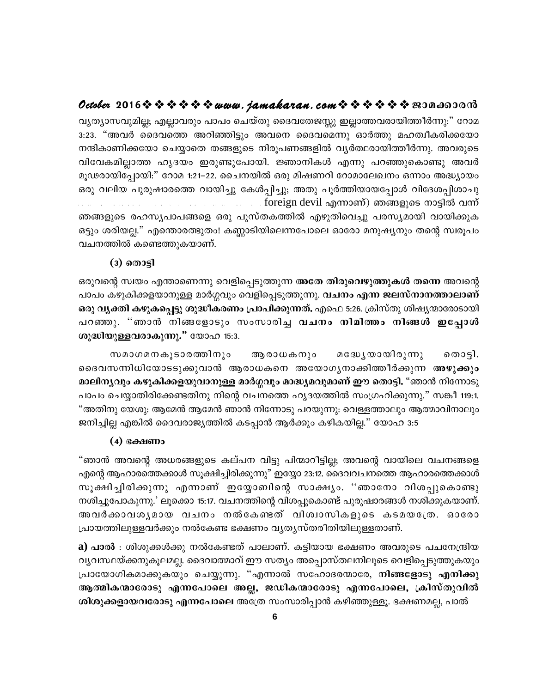## 

വൃത്യാസവുമില്ല; എല്ലാവരും പാപം ചെയ്തു ദൈവതേജസ്സു ഇല്ലാത്തവരായിത്തീർന്നു:" റോമ 3:23. "അവർ ദൈവത്തെ അറിഞ്ഞിട്ടും അവനെ ദൈവമെന്നു ഓർത്തു മഹത്വീകരിക്കയോ നന്ദികാണിക്കയോ ചെയ്യാതെ തങ്ങളുടെ നിരൂപണങ്ങളിൽ വ്യർത്ഥരായിത്തീർന്നു. അവരുടെ വിവേകമില്ലാത്ത ഹൃദയം ഇരുണ്ടുപോയി. ജ്ഞാനികൾ എന്നു പറഞ്ഞുകൊണ്ടു അവർ മൂഢരായിപ്പോയി:" റോമ 1:21–22. ചൈനയിൽ ഒരു മിഷണറി റോമാലേഖനം ഒന്നാം അദ്ധ്യായം ഒരു വലിയ പുരുഷാരത്തെ വായിച്ചു കേൾപ്പിച്ചു; അതു പൂർത്തിയായപ്പോൾ വിദേശപ്പിശാചു foreign devil എന്നാണ്) ഞങ്ങളുടെ നാട്ടിൽ വന്ന് ഞങ്ങളുടെ രഹസൃപാപങ്ങളെ ഒരു പുസ്തകത്തിൽ എഴുതിവെച്ചു പരസ്യമായി വായിക്കുക ഒട്ടും ശരിയല്ല." എന്തൊരത്ഭുതം! കണ്ണാടിയിലെന്നപോലെ ഓരോ മനുഷ്യനും തന്റെ സ്വരൂപം

വചനത്തിൽ കണ്ടെത്തുകയാണ്.

#### $(3)$  തൊട്ടി

ഒരുവന്റെ സ്വയം എന്താണെന്നു വെളിപ്പെടുത്തുന്ന അതേ തിരുവെഴുത്തുകൾ തന്നെ അവന്റെ പാപം കഴുകിക്കളയാനുള്ള മാർഗ്ഗവും വെളിപ്പെടുത്തുന്നു. **വചനം എന്ന ജലസ്നാനത്താലാണ്**. ഒരു വൃക്തി കഴുകപ്പെട്ടു ശുദ്ധീകരണം പ്രാപിക്കുന്നത്. എഫെ 5:26. ക്രിസ്തു ശിഷ്യന്മാരോടായി പറഞ്ഞു. "ഞാൻ നിങ്ങളോടും സംസാരിച്ച <mark>വചനം നിമിത്തം നിങ്ങൾ ഇപ്പോൾ</mark> ശുദ്ധിയുള്ളവരാകുന്നു." യോഹ 15:3.

സമാഗമനകൂടാരത്തിനും മദ്ധേൃയായിരുന്നു ആരാധകനും തൊട്ടി. ദൈവസന്നിധിയോടടുക്കുവാൻ ആരാധകനെ അയോഗൃനാക്കിത്തീർക്കുന്ന അഴുക്കും മാലിനൃവും കഴുകിക്കളയുവാനുള്ള മാർഗ്ഗവും മാദ്ധ്യമവുമാണ് ഈ തൊട്ടി. "ഞാൻ നിന്നോടു പാപം ചെയ്യാതിരിക്കേണ്ടതിനു നിന്റെ വചനത്തെ ഹൃദയത്തിൽ സംഗ്രഹിക്കുന്നു." സങ്കീ 119:1. "അതിനു യേശു: ആമേൻ ആമേൻ ഞാൻ നിന്നോടു പറയുന്നു: വെള്ളത്താലും ആത്മാവിനാലും ജനിച്ചില്ല എങ്കിൽ ദൈവരാജ്യത്തിൽ കടപ്പാൻ ആർക്കും കഴികയില്ല." യോഹ 3:5

#### $(4)$  ഭക്ഷണം

"ഞാൻ അവന്റെ അധരങ്ങളുടെ കല്പന വിട്ടു പിന്മാറീട്ടില്ല; അവന്റെ വായിലെ വചനങ്ങളെ എന്റെ ആഹാരത്തെക്കാൾ സൂക്ഷിച്ചിരിക്കുന്നു" ഇയ്യോ 23:12. ദൈവവചനത്തെ ആഹാരത്തെക്കാൾ സൂക്ഷിച്ചിരിക്കുന്നു എന്നാണ് ഇയ്യോബിന്റെ സാക്ഷ്യം. ''ഞാനോ വിശപ്പുകൊണ്ടു നശിച്ചുപോകുന്നു.' ലൂക്കൊ 15:17. വചനത്തിന്റെ വിശപ്പുകൊണ്ട് പുരുഷാരങ്ങൾ നശിക്കുകയാണ്. അവർക്കാവശൃമായ വചനം നൽകേണ്ടത് വിശ്വാസികളുടെ കടമയത്രേ. ഓരോ പ്രായത്തിലുള്ളവർക്കും നൽകേണ്ട ഭക്ഷണം വൃതൃസ്തരീതിയിലുള്ളതാണ്.

 ${\bf a})$  പാൽ : ശിശുക്കൾക്കു നൽകേണ്ടത് പാലാണ്. കട്ടിയായ ഭക്ഷണം അവരുടെ പചനേന്ദ്രിയ വൃവസ്ഥയ്ക്കനുകൂലമല്ല. ദൈവാത്മാവ് ഈ സത്യം അപ്പൊസ്തലനിലൂടെ വെളിപ്പെടുത്തുകയും പ്രായോഗികമാക്കുകയും ചെയ്യുന്നു. "എന്നാൽ സഹോദരന്മാരേ, <mark>നിങ്ങളോടു എനിക്കു</mark> ആത്മികന്മാരോടു എന്നപോലെ അല്ല, ജഡികന്മാരോടു എന്നപോലെ, ക്രിസ്തുവിൽ ശിശുക്കളായവരോടു എന്നപോലെ അത്രേ സംസാരിപ്പാൻ കഴിഞ്ഞുള്ളൂ. ഭക്ഷണമല്ല, പാൽ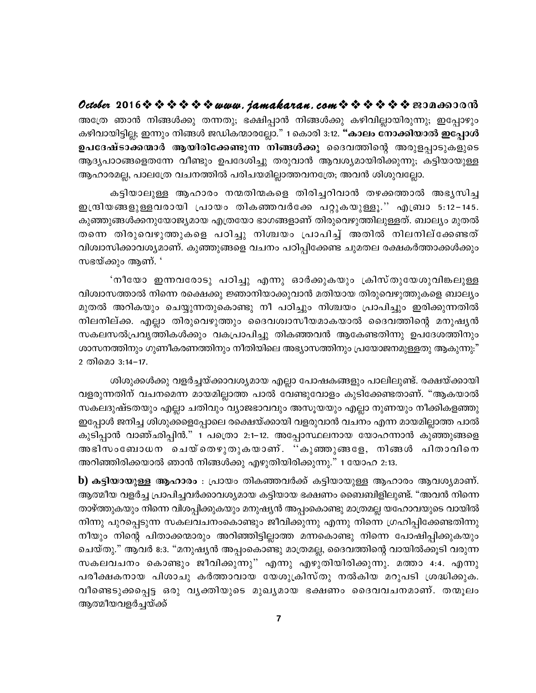October 2016※※※※※※www.jamakaran.com※※※※※※BJDa6JOM അത്രേ ഞാൻ നിങ്ങൾക്കു തന്നതു; ഭക്ഷിപ്പാൻ നിങ്ങൾക്കു കഴിവില്ലായിരുന്നു; ഇപ്പോഴും കഴിവായിട്ടില്ല; ഇന്നും നിങ്ങൾ ജഡികന്മാരല്ലോ." 1 കൊരി 3:12. **"കാലം നോക്കിയാൽ ഇപ്പോൾ** ഉപദേഷ്ടാക്കന്മാർ ആയിരിക്കേണ്ടുന്ന നിങ്ങൾക്കു ദൈവത്തിന്റെ അരുളപ്പാടുകളുടെ ആദ്യപാഠങ്ങളെതന്നേ വീണ്ടും ഉപദേശിച്ചു തരുവാൻ ആവശ്യമായിരിക്കുന്നു; കട്ടിയായുള്ള ആഹാരമല്ല, പാലത്രേ വചനത്തിൽ പരിചയമില്ലാത്തവനത്രേ; അവൻ ശിശുവല്ലോ.

കട്ടിയാലുള്ള ആഹാരം നന്മതിന്മകളെ തിരിച്ചറിവാൻ തഴക്കത്താൽ അഭൃസിച്ച ഇന്ദ്രിയങ്ങളുള്ളവരായി പ്രായം തികഞ്ഞവർക്കേ പറ്റുകയുള്ളൂ.'' എബ്രാ 5:12−145. കുഞ്ഞുങ്ങൾക്കനുയോജ്യമായ എത്രയോ ഭാഗങ്ങളാണ് തിരുവെഴുത്തിലുള്ളത്. ബാല്യം മുതൽ തന്നെ തിരുവെഴുത്തുകളെ പഠിച്ചു നിശ്ചയം പ്രാപിച്ച് അതിൽ നിലനില്ക്കേണ്ടത് വിശ്വാസിക്കാവശ്യമാണ്. കുഞ്ഞുങ്ങളെ വചനം പഠിപ്പിക്കേണ്ട ചുമതല രക്ഷകർത്താക്കൾക്കും സഭയ്ക്കും ആണ്. '

'നീയോ ഇന്നവരോടു പഠിച്ചു എന്നു ഓർക്കുകയും ക്രിസ്തുയേശുവിങ്കലുള്ള വിശ്വാസത്താൽ നിന്നെ രക്ഷെക്കു ജ്ഞാനിയാക്കുവാൻ മതിയായ തിരുവെഴുത്തുകളെ ബാല്യം മുതൽ അറികയും ചെയ്യുന്നതുകൊണ്ടു നീ പഠിച്ചും നിശ്ചയം പ്രാപിച്ചും ഇരിക്കുന്നതിൽ നിലനില്ക്ക. എല്ലാ തിരുവെഴുത്തും ദൈവശ്വാസീയമാകയാൽ ദൈവത്തിന്റെ മനുഷൃൻ സകലസൽപ്രവൃത്തികൾക്കും വകപ്രാപിച്ചു തികഞ്ഞവൻ ആകേണ്ടതിന്നു ഉപദേശത്തിനും ശാസനത്തിനും ഗുണീകരണത്തിനും നീതിയിലെ അഭ്യാസത്തിനും പ്രയോജനമുള്ളതു ആകുന്നു:" 2 തിമൊ 3:14–17.

ശിശുക്കൾക്കു വളർച്ചയ്ക്കാവശ്യമായ എല്ലാ പോഷകങ്ങളും പാലിലുണ്ട്. രക്ഷയ്ക്കായി വളരുന്നതിന് വചനമെന്ന മായമില്ലാത്ത പാൽ വേണ്ടുവോളം കുടിക്കേണ്ടതാണ്. "ആകയാൽ സകലദുഷ്ടതയും എല്ലാ ചതിവും വ്യാജഭാവവും അസൂയയും എല്ലാ നുണയും നീക്കികളഞ്ഞു ഇപ്പോൾ ജനിച്ച ശിശുക്കളെപ്പോലെ രക്ഷെയ്ക്കായി വളരുവാൻ വചനം എന്ന മായമില്ലാത്ത പാൽ കുടിപ്പാൻ വാഞ്ഛിപ്പിൻ." 1 പത്രൊ 2:1–12. അപ്പോസ്ഥലനായ യോഹന്നാൻ കുഞ്ഞുങ്ങളെ അഭിസംബോധന ചെയ്തെഴുതുകയാണ്. ''കുഞ്ഞുങ്ങളേ, നിങ്ങൾ പിതാവിനെ അറിഞ്ഞിരിക്കയാൽ ഞാൻ നിങ്ങൾക്കു എഴുതിയിരിക്കുന്നു." 1 യോഹ 2:13.

b) കട്ടിയായുള്ള ആഹാരം : പ്രായം തികഞ്ഞവർക്ക് കട്ടിയായുള്ള ആഹാരം ആവശ്യമാണ്. ആത്മീയ വളർച്ച പ്രാപിച്ചവർക്കാവശ്യമായ കട്ടിയായ ഭക്ഷണം ബൈബിളിലുണ്ട്. "അവൻ നിന്നെ താഴ്ത്തുകയും നിന്നെ വിശപ്പിക്കുകയും മനുഷ്യൻ അപ്പംകൊണ്ടു മാത്രമല്ല യഹോവയുടെ വായിൽ നിന്നു പുറപ്പെടുന്ന സകലവചനംകൊണ്ടും ജീവിക്കുന്നു എന്നു നിന്നെ ഗ്രഹിപ്പിക്കേണ്ടതിന്നു നീയും നിന്റെ പിതാക്കന്മാരും അറിഞ്ഞിട്ടില്ലാത്ത മന്നകൊണ്ടു നിന്നെ പോഷിപ്പിക്കുകയും ചെയ്തു." ആവർ 8:3. "മനുഷ്യൻ അപ്പംകൊണ്ടു മാത്രമല്ല, ദൈവത്തിന്റെ വായിൽക്കൂടി വരുന്ന സകലവചനം കൊണ്ടും ജീവിക്കുന്നു" എന്നു എഴുതിയിരിക്കുന്നു. മത്താ 4:4. എന്നു പരീക്ഷകനായ പിശാചു കർത്താവായ യേശുക്രിസ്തു നൽകിയ മറുപടി ശ്രദ്ധിക്കുക. വീണ്ടെടുക്കപ്പെട്ട ഒരു വൃക്തിയുടെ മുഖ്യമായ ഭക്ഷണം ദൈവവചനമാണ്. തന്മൂലം ആത്മീയവളർച്ചയ്ക്ക്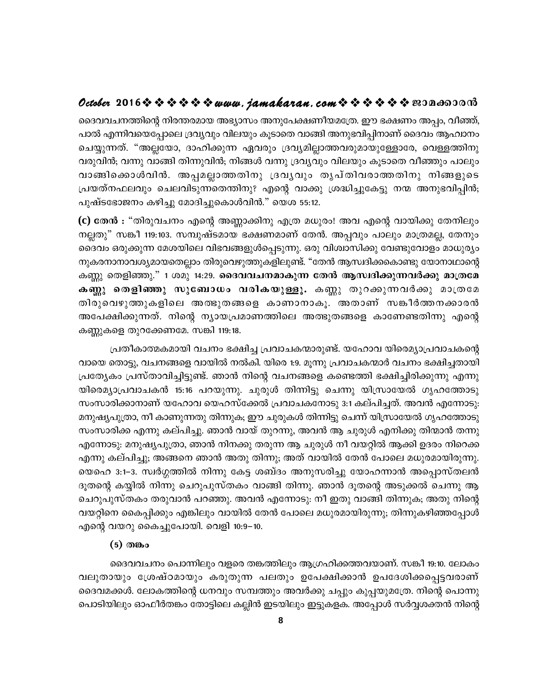## **October 2016www.jamakaran.comPma¡mc³**

ദെവവചനത്തിന്റെ നിരന്തരമായ അഭ്യാസം അനുപേക്ഷണീയമത്രേ. ഈ ഭക്ഷണം അപ്പം, വീഞ്ഞ്, പാൽ എന്നിവയെപ്പോലെ ദ്രവ്യവും വിലയും കൂടാതെ വാങ്ങി അനുഭവിപ്പിനാണ് ദൈവം ആഹ്വാനം ചെയ്യുന്നത്. "അല്ലയോ, ദാഹിക്കുന്ന ഏവരും ദ്രവ്യമില്ലാത്തവരുമായുള്ളോരേ, വെള്ളത്തിനു വരുവിൻ; വന്നു വാങ്ങി തിന്നുവിൻ; നിങ്ങൾ വന്നു ദ്രവൃവും വിലയും കൂടാതെ വീഞ്ഞും പാലും ദൈവവചനത്തിന്റെ നിരന്തരമായ അഭ്യാസം അനുപേക്ഷണീയമത്രേ. ഈ ഭക്ഷണം അപ്പം, വീഞ്ഞ്,<br>പാൽ എന്നിവയെപ്പോലെ ദ്രവ്യവും വിലയും കൂടാതെ വാങ്ങി അനുഭവിപ്പിനാണ് ദൈവം ആഹ്വാനം<br>ചെയ്യുന്നത്. "അല്ലയോ, ദാഹിക്കുന്ന ഏവരും ദ്രവ്യമില്ലാത്തവരുമായുള് {പയത്നഫലവും ചെലവിടുന്നതെന്തിനു? എന്റെ വാക്കു ശ്രദ്ധിച്ചുകേട്ടു നന്മ അനുഭവിപ്പിൻ; പുഷ്ടഭോജനം കഴിച്ചു മോദിച്ചുകൊൾവിൻ." യെശ 55:12.

 ${\bf (c)}$  തേൻ  ${\bf :}$  "തിരുവചനം എന്റെ അണ്ണാക്കിനു എത്ര മധുരം! അവ എന്റെ വായിക്കു തേനിലും നല്ലതു" സങ്കീ 119:103. സമ്പുഷ്ടമായ ഭക്ഷണമാണ് തേൻ. അപ്പവും പാലും മാത്രമല്ല, തേനും ദൈവം ഒരുക്കുന്ന മേശയിലെ വിഭവങ്ങളുൾപ്പെടുന്നു. ഒരു വിശ്വാസിക്കു വേണ്ടുവോളം മാധുര്യം നുകരനാനാവശ്യമായതെല്ലാം തിരുവെഴുത്തുകളിലുണ്ട്. "തേൻ ആസ്വദിക്കകൊണ്ടു യോനാഥാന്റെ കണ്ണു തെളിഞ്ഞു." 1 ശമു 14:29. **ദൈവവചനമാകുന്ന തേൻ ആസ്വദിക്കുന്നവർക്കു മാത്രമേ** നല്ലതു" സങ്കീ 119:103. സമ്പുഷ്ടമായ ഭക്ഷണമാണ് തേൻ. അപ്പവും പാലും മാത്രമല്ല, തേനും<br>ദൈവം ഒരുക്കുന്ന മേശയിലെ വിഭവങ്ങളുൾപ്പെടുന്നു. ഒരു വിശ്വാസിക്കു വേണ്ടുവോളം മാധുര്യം<br>നുകരനാനാവശ്യമായതെല്ലാം തിരുവെഴുത്തുകളിലുണ്ട്. "തേൻ ആസ്വദി ദൈവം ഒരുക്കുന്ന മേശയിലെ വിഭവങ്ങളുൾപ്പെടുന്നു. ഒരു വിശ്വാസിക്കു വേണ്ടുവോളം മാധുര്യം<br>നുകരനാനാവശ്യമായതെല്ലാം തിരുവെഴുത്തുകളിലുണ്ട്. "തേൻ ആസ്വദിക്കകൊണ്ടു യോനാഥാന്റെ<br>കണ്ണു തെളിഞ്ഞു." 1 ശമു 14:29. **ദൈവവചനമാകുന്ന തേൻ ആസ്വദിക്കുന** നുകരനാനാവശ്യമായതെല്ലാം തിരുവെഴുത്തുകളിലുണ്ട്. "തേൻ ആസ്വദിക്കകൊണ്ടു യോനാഥാന്റെ<br>കണ്ണു തെളിഞ്ഞു." 1 ശമു 14:29. **ദൈവവചനമാകുന്ന തേൻ ആസ്വദിക്കുന്നവർക്കു മാത്രമേ**<br>കണ്ണു തെളിഞ്ഞു സുബോധം വരികയുള്ളൂ. കണ്ണു തുറക്കുന്നവർക്കു മാത്രമേ<br> കണ്ണുകളെ തുറക്കേണമേ. സങ്കി 119:18.

്പതീകാത്മകമായി വചനം ഭക്ഷിച്ച പ്രവാചകന്മാരുണ്ട്. യഹോവ യിരെമ്യാപ്രവാചകന്റെ വായെ തൊട്ടു, വചനങ്ങളെ വായിൽ നൽകി. യിരെ 1:9. മൂന്നു പ്രവാചകന്മാർ വചനം ഭക്ഷിച്ചതായി {പത്യേകം പ്രസ്താവിച്ചിട്ടുണ്ട്. ഞാൻ നിന്റെ വചനങ്ങളെ കണ്ടെത്തി ഭക്ഷിച്ചിരിക്കുന്നു എന്നു യിരെമ്യാപ്രവാചകൻ 15:16 പറയുന്നു. ചുരുൾ തിന്നിട്ടു ചെന്നു യിസ്രായേൽ ഗൃഹത്തോടു സംസാരിക്കാനാണ് യഹോവ യെഹസ്ക്കേൽ പ്രവാചകനോടു 3:1 കല്പിച്ചത്. അവൻ എന്നോടു: മനുഷ്യപുത്രാ, നീ കാണുന്നതു തിന്നുക; ഈ ചുരുകൾ തിന്നിട്ടു ചെന്ന് യിസ്രായേൽ ഗൃഹത്തോടു സംസാരിക്ക എന്നു കല്പിച്ചു. ഞാൻ വായ് തുറന്നു, അവൻ ആ ചുരുൾ എനിക്കു തിന്മാൻ തന്നു എന്നോടു: മനുഷ്യപുത്രാ, ഞാൻ നിനക്കു തരുന്ന ആ ചുരുൾ നീ വയറ്റിൽ ആക്കി ഉദരം നിറെക്ക എന്നു കല്പിച്ചു; അങ്ങനെ ഞാൻ അതു തിന്നു; അത് വായിൽ തേൻ പോലെ മധുരമായിരുന്നു. യെഹെ 3:1–3. സ്വർഗ്ഗത്തിൽ നിന്നു കേട്ട ശബ്ദം അനുസരിച്ചു യോഹന്നാൻ അപ്പൊസ്തലൻ ദൂതന്റെ കയ്യിൽ നിന്നു ചെറുപുസ്തകം വാങ്ങി തിന്നു. ഞാൻ ദൂതന്റെ അടുക്കൽ ചെന്നു ആ ചെറുപുസ്തകം തരുവാൻ പറഞ്ഞു. അവൻ എന്നോടു: നീ ഇതു വാങ്ങി തിന്നുക; അതു നിന്റെ വയറ്റിനെ കൈപ്പിക്കും എങ്കിലും വായിൽ തേൻ പോലെ മധുരമായിരുന്നു; തിന്നുകഴിഞ്ഞപ്പോൾ എന്റെ വയറു കൈച്ചുപോയി. വെളി 10:9–10.

#### (5) തങ്കം

ദെെവവചനം പൊന്നിലും വളരെ തങ്കത്തിലും ആഗ്രഹിക്കത്തവയാണ്. സങ്കീ 19:10. ലോകം എന്റെ വയറു കൈച്ചുപോയി. വെളി 10:9–10.<br>(5) തങ്കം<br>ക്കെവവചനം പൊന്നിലും വളരെ തങ്കത്തിലും ആഗ്രഹിക്കത്തവയാണ്. സങ്കീ 19:10. ലോകം<br>വലുതായും ശ്രേഷ്ഠമായും കരുതുന്ന പലതും ഉപേക്ഷിക്കാൻ ഉപദേശിക്കപ്പെട്ടവരാണ്<br>ദൈവമക്കൾ. ലോകത്തിന്റെ ധനവും ദെവമക്കൾ. ലോകത്തിന്റെ ധനവും സമ്പത്തും അവർക്കു ചപ്പും കുപ്പയുമത്രേ. നിന്റെ പൊന്നു പൊടിയിലും ഓഫീർതങ്കം തോട്ടിലെ കല്ലിൻ ഇടയിലും ഇട്ടുകളക. അപ്പോൾ സർവ്വശക്തൻ നിന്റെ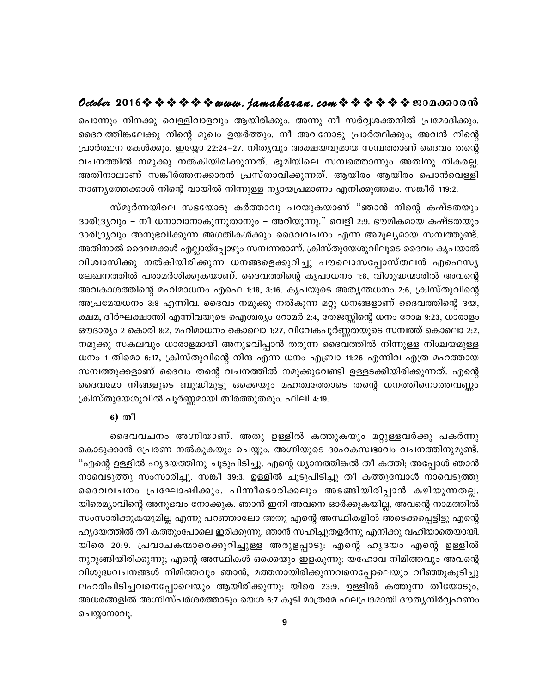## **October 2016www.jamakaran.comPma¡mc³**

പൊന്നും നിനക്കു വെള്ളിവാളവും ആയിരിക്കും. അന്നു നീ സർവ്വശക്തനിൽ പ്രമോദിക്കും. ദെവത്തിങ്കലേക്കു നിന്റെ മുഖം ഉയർത്തും. നീ അവനോടു പ്രാർത്ഥിക്കും; അവൻ നിന്റെ {പാർത്ഥന കേൾക്കും. ഇയ്യോ 22:24–27. നിതൃവും അക്ഷയവുമായ സമ്പത്താണ് ദൈവം തന്റെ  $\bm{\nu}$ exaeer 2016 $\bm{\triangledown}$   $\bm{\triangledown}$   $\bm{\triangledown}$   $\bm{\triangledown}$   $\bm{\triangledown}$   $\bm{\triangledown}$  and  $\bm{\nu}$  and  $\bm{\nu}$  and  $\bm{\nu}$  and  $\bm{\nu}$  and  $\bm{\nu}$  and  $\bm{\nu}$  and  $\bm{\nu}$  and  $\bm{\nu}$  and  $\bm{\nu}$  and  $\bm{\nu}$  and  $\bm{\nu}$  and  $\bm{\nu}$ പൊന്നും നിനക്കു വെള്ളിവാളവും ആയിരിക്കും. അന്നു നീ സർവ്വശക്തനിൽ പ്രമോദിക്കും.<br>ദൈവത്തിങ്കലേക്കു നിന്റെ മുഖം ഉയർത്തും. നീ അവനോടു പ്രാർത്ഥിക്കും; അവൻ നിന്റെ<br>പ്രാർത്ഥന കേൾക്കും. ഇയ്യോ 22:24–27. നിത്യവും അക്ഷയവുമായ സമ്പത്താണ് ദ നാണ്യത്തേക്കാൾ നിന്റെ വായിൽ നിന്നുള്ള ന്യായപ്രമാണം എനിക്കുത്തമം. സങ്കീർ 119:2. kn കോക്കും. ഇയ്യോ 22:24–27. നിരുവും അക്ഷയവുമായ സമ്പരികാണ ദൈവം തന്റെ<br>തിൽ നമുക്കു നൽകിയിരിക്കുന്നത്. ഭൂമിയിലെ സമ്പത്തൊന്നും അതിനു നികരല്ല.<br>ാലാണ് സങ്കീർത്തനക്കാരൻ പ്രസ്താവിക്കുന്നത്. ആയിരം ആയിരം പൊൻവെള്ളി<br>തേക്കാൾ നിന്റെ വായി

ദാരിദ്ര്യവും – നീ ധനാവാനാകുന്നുതാനും – അറിയുന്നു." വെളി 2:9. ഭൗമികമായ കഷ്ടതയും ദാരിദ്ര്യവും അനുഭവിക്കുന്ന അഗതികൾക്കും ദൈവവചനം എന്ന അമൂല്യമായ സമ്പത്തുണ്ട്. അതിനാൽ ദൈവമക്കൾ എല്ലായ്പ്പോഴും സമ്പന്നരാണ്. ക്രിസ്തുയേശുവിലൂടെ ദൈവം കൃപയാൽ സ്മുർന്നയിലെ സഭയോടു കർത്താവു പറയുകയാണ് "ഞാൻ നിന്റെ കഷ്ടതയും<br>ദാരിദ്ര്യവും – നീ ധനാവാനാകുന്നുതാനും – അറിയുന്നു." വെളി 2:9. ഭൗമികമായ കഷ്ടതയും<br>ദാരിദ്ര്യവും അനുഭവിക്കുന്ന അഗതികൾക്കും ദൈവവചനം എന്ന അമൂല്യമായ സമ്പത്തുണ്ട്.<br>അതിനാൽ ലേഖനത്തിൽ പരാമർശിക്കുകയാണ്. ദൈവത്തിന്റെ കൃപാധനം 1:8, വിശുദ്ധന്മാരിൽ അവന്റെ അവകാശത്തിന്റെ മഹിമാധനം എഫെ 1:18, 3:16. കൃപയുടെ അതൃന്തധനം 2:6, ക്രിസ്തുവിന്റെ അപ്രമേയധനം 3:8 എന്നിവ. ദൈവം നമുക്കു നൽകുന്ന മറ്റു ധനങ്ങളാണ് ദൈവത്തിന്റെ ദയ, ക്ഷമ, ദീർഘക്ഷാന്തി എന്നിവയുടെ ഐശ്വര്യം റോമർ 2:4, തേജസ്സിന്റെ ധനം റോമ 9:23, ധാരാളം ഔദാര്യം 2 കൊരി 8:2, മഹിമാധനം കൊലൊ 1:27, വിവേകപൂർണ്ണതയുടെ സമ്പത്ത് കൊലൊ 2:2, നമുക്കു സകലവും ധാരാളമായി അനുഭവിപ്പാൻ തരുന്ന ദൈവത്തിൽ നിന്നുള്ള നിശ്ചയമുള്ള  $\omega$ നം 1 തിമൊ 6:17, ക്രിസ്തുവിന്റെ നിന്ദ എന്ന ധനം എബ്രാ 11:26 എന്നിവ എത്ര മഹത്തായ സമ്പത്തുക്കളാണ് ദൈവം തന്റെ വചനത്തിൽ നമുക്കുവേണ്ടി ഉള്ളടക്കിയിരിക്കുന്നത്. എന്റെ ദൈവമോ നിങ്ങളുടെ ബുദ്ധിമുട്ടു ഒക്കെയും മഹത്വത്തോടെ തന്റെ ധനത്തിനൊത്തവണ്ണം ക്രിസ്തുയേശുവിൽ പൂർണ്ണമായി തീർത്തുതരും. ഫിലി 4:19.

#### 6) രീ

ssZhhN\w AánbmW v. AXp DÅn I¯pIbpw aäpÅhÀ¡p ]IÀ¶p ""Fsâ DÅn lrZb¯n\p NqSp]nSn¨p. Fsâ [ym\¯n¦Â Xo I¯n; At¸mÄ Rm³ കൊടുക്കാൻ പ്രേരണ നൽകുകയും ചെയ്യും. അഗ്നിയുടെ ദാഹകസ്വഭാവം വചനത്തിനുമുണ്ട്. നാവെടുത്തു സംസാരിച്ചു. സങ്കീ 39:3. ഉള്ളിൽ ചൂടുപിടിച്ചു തീ കത്തുമ്പോൾ നാവെടുത്തു ഒെെവവചനം പ്രഘോഷിക്കും. പിന്നീടൊരിക്കലും അടങ്ങിയിരിപ്പാൻ കഴിയുന്നതല്ല. യിരെമ്യാവിന്റെ അനുഭവം നോക്കുക. ഞാൻ ഇനി അവനെ ഓർക്കുകയില്ല, അവന്റെ നാമത്തിൽ സംസാരിക്കുകയുമില്ല എന്നു പറഞ്ഞാലോ അതു എന്റെ അസ്ഥികളിൽ അടെക്കപ്പെട്ടിട്ടു എന്റെ ഹൃദയത്തിൽ തീ കത്തുംപോലെ ഇരിക്കുന്നു. ഞാൻ സഹിച്ചുതളർന്നു എനിക്കു വഹിയാതെയായി. യിരെ 20:9. പ്രവാചകന്മാരെക്കുറിച്ചുള്ള അരുളപ്പാടു: എന്റെ ഹൃദയം എന്റെ ഉള്ളിൽ നുറുങ്ങിയിരിക്കുന്നു; എന്റെ അസ്ഥികൾ ഒക്കെയും ഇളകുന്നു; യഹോവ നിമിത്തവും അവന്റെ വിശുദ്ധവചനങ്ങൾ നിമിത്തവും ഞാൻ, മത്തനായിരിക്കുന്നവനെപ്പോലെയും വീഞ്ഞുകുടിച്ചു ലഹരിപിടിച്ചവനെപ്പോലെയും ആയിരിക്കുന്നു: യിരെ 23:9. ഉള്ളിൽ കത്തുന്ന തീയോടും, അധരങ്ങളിൽ അഗ്നിസ്പർശത്തോടും യെശ 6:7 കൂടി മാത്രമേ ഫലപ്രദമായി ദൗതൃനിർവ്വഹണം ചെയ്യാനാവു.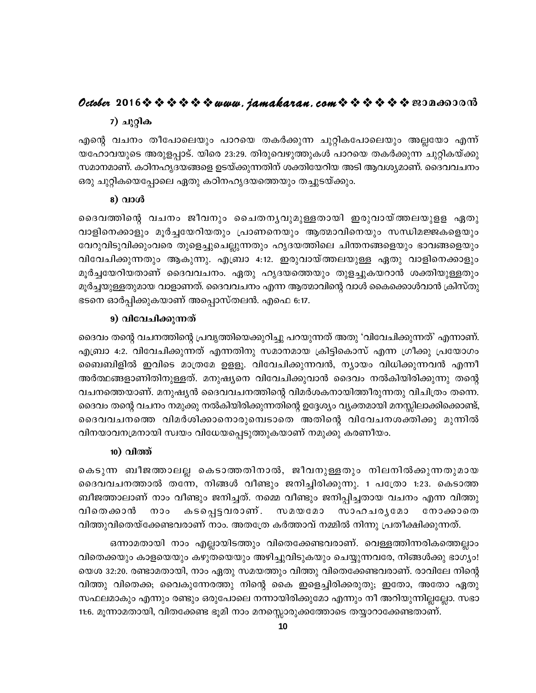### 7) ചുറ്റിക

എന്റെ വചനം തീപോലെയും പാറയെ തകർക്കുന്ന ചുറ്റികപോലെയും അല്ലയോ എന്ന് യഹോവയുടെ അരുളപ്പാട്. യിരെ 23:29. തിരുവെഴുത്തുകൾ പാറയെ തകർക്കുന്ന ചുറ്റികയ്ക്കു സമാനമാണ്. കഠിനഹൃദയങ്ങളെ ഉടയ്ക്കുന്നതിന് ശക്തിയേറിയ അടി ആവശ്യമാണ്. ദൈവവചനം ഒരു ചുറ്റികയെപ്പോലെ ഏതു കഠിനഹൃദയത്തെയും തച്ചുടയ്ക്കും.

### 8) വാൾ

ദൈവത്തിന്റെ വചനം ജീവനും ചൈതനൃവുമുള്ളതായി ഇരുവായ്ത്തലയുളള ഏതു വാളിനെക്കാളും മുർച്ചയേറിയതും പ്രാണനെയും ആത്മാവിനെയും സന്ധിമജ്ജകളെയും വേറുവിടുവിക്കുംവരെ തുളെച്ചുചെല്ലുന്നതും ഹൃദയത്തിലെ ചിന്തനങ്ങളെയും ഭാവങ്ങളെയും വിവേചിക്കുന്നതും ആകുന്നു. എബ്രാ 4:12. ഇരുവായ്ത്തലയുള്ള ഏതു വാളിനെക്കാളും മൂർച്ചയേറിയതാണ് ദൈവവചനം. ഏതു ഹൃദയത്തെയും തുളച്ചുകയറാൻ ശക്തിയുള്ളതും മൂർച്ചയുള്ളതുമായ വാളാണത്. ദൈവവചനം എന്ന ആത്മാവിന്റെ വാൾ കൈക്കൊൾവാൻ ക്രിസ്തു ഭടനെ ഓർപ്പിക്കുകയാണ് അപ്പൊസ്തലൻ. എഫെ 6:17.

### 9) വിവേചിക്കുന്നത്

ദൈവം തന്റെ വചനത്തിന്റെ പ്രവൃത്തിയെക്കുറിച്ചു പറയുന്നത് അതു 'വിവേചിക്കുന്നത്' എന്നാണ്. എബ്രാ 4:2. വിവേചിക്കുന്നത് എന്നതിനു സമാനമായ ക്രിട്ടികൊസ് എന്ന ഗ്രീക്കു പ്രയോഗം ബൈബിളിൽ ഇവിടെ മാത്രമേ ഉളളൂ. വിവേചിക്കുന്നവൻ, ന്യായം വിധിക്കുന്നവൻ എന്നീ അർത്ഥങ്ങളാണിതിനുള്ളത്. മനുഷ്യനെ വിവേചിക്കുവാൻ ദൈവം നൽകിയിരിക്കുന്നു തന്റെ വചനത്തെയാണ്. മനുഷ്യൻ ദൈവവചനത്തിന്റെ വിമർശകനായിത്തീരുന്നതു വിചിത്രം തന്നെ. ദൈവം തന്റെ വചനം നമുക്കു നൽകിയിരിക്കുന്നതിന്റെ ഉദ്ദേശ്യം വ്യക്തമായി മനസ്സിലാക്കിക്കൊണ്ട്, ദൈവവചനത്തെ വിമർശിക്കാനൊരുമ്പെടാതെ അതിന്റെ വിവേചനശക്തിക്കു മുന്നിൽ വിനയാവനമ്രനായി സ്വയം വിധേയപ്പെടുത്തുകയാണ് നമുക്കു കരണീയം.

### 10) വിത്ത്

കെടുന്ന ബീജത്താലല്ല കെടാത്തതിനാൽ, ജീവനുള്ളതും നിലനിൽക്കുന്നതുമായ ദൈവവചനത്താൽ തന്നേ, നിങ്ങൾ വീണ്ടും ജനിച്ചിരിക്കുന്നു. 1 പത്രോ 1:23. കെടാത്ത ബീജത്താലാണ് നാം വീണ്ടും ജനിച്ചത്. നമ്മെ വീണ്ടും ജനിപ്പിച്ചതായ വചനം എന്ന വിത്തു കടപ്പെട്ടവരാണ്. വിതെക്കാൻ  $000$ സമയമോ സാഹചരൃമോ നോക്കാതെ വിത്തുവിതെയ്ക്കേണ്ടവരാണ് നാം. അതത്രേ കർത്താവ് നമ്മിൽ നിന്നു പ്രതീക്ഷിക്കുന്നത്.

ഒന്നാമതായി നാം എല്ലായിടത്തും വിതെക്കേണ്ടവരാണ്. വെള്ളത്തിന്നരികത്തെല്ലാം വിതെക്കയും കാളയെയും കഴുതയെയും അഴിച്ചുവിടുകയും ചെയ്യുന്നവരേ, നിങ്ങൾക്കു ഭാഗ്യം! യെശ 32:20. രണ്ടാമതായി, നാം ഏതു സമയത്തും വിത്തു വിതെക്കേണ്ടവരാണ്. രാവിലേ നിന്റെ വിത്തു വിതെക്ക; വൈകുന്നേരത്തു നിന്റെ കൈ ഇളെച്ചിരിക്കരുതു; ഇതോ, അതോ ഏതു സഫലമാകും എന്നും രണ്ടും ഒരുപോലെ നന്നായിരിക്കുമോ എന്നും നീ അറിയുന്നില്ലല്ലോ. സഭാ 11:6. മൂന്നാമതായി, വിതക്കേണ്ട ഭൂമി നാം മനസ്സൊരുക്കത്തോടെ തയ്യാറാക്കേണ്ടതാണ്.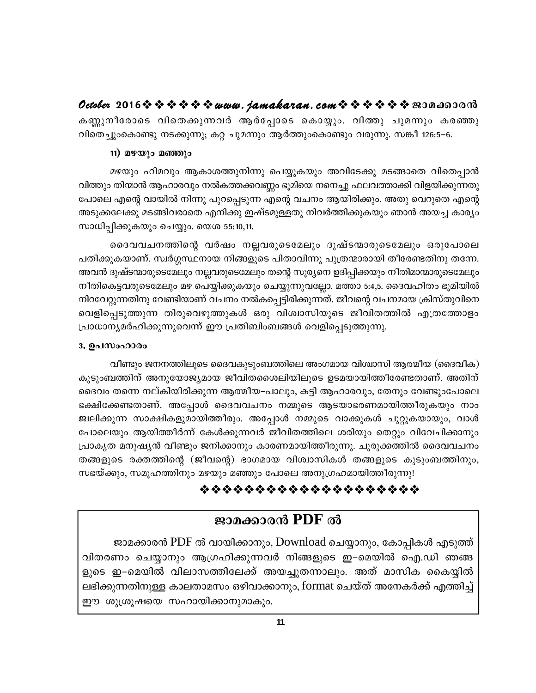കണ്ണുനീരോടെ വിതെക്കുന്നവർ ആർപ്പോടെ കൊയ്യും. വിത്തു ചുമന്നും കരഞ്ഞു വിതെച്ചുംകൊണ്ടു നടക്കുന്നു; കറ്റ ചുമന്നും ആർത്തുംകൊണ്ടും വരുന്നു. സങ്കീ 126:5–6.

### 11) മഴയും മഞ്ഞും

മഴയും ഹിമവും ആകാശത്തുനിന്നു പെയ്യുകയും അവിടേക്കു മടങ്ങാതെ വിതെപ്പാൻ വിത്തും തിന്മാൻ ആഹാരവും നൽകത്തക്കവണ്ണം ഭൂമിയെ നനെച്ചു ഫലവത്താക്കി വിളയിക്കുന്നതു പോലെ എന്റെ വായിൽ നിന്നു പുറപ്പെടുന്ന എന്റെ വചനം ആയിരിക്കും. അതു വെറുതെ എന്റെ അടുക്കലേക്കു മടങ്ങിവരാതെ എനിക്കു ഇഷ്ടമുള്ളതു നിവർത്തിക്കുകയും ഞാൻ അയച്ച കാര്യം സാധിപ്പിക്കുകയും ചെയ്യും. യെശ 55:10,11.

ദൈവവചനത്തിന്റെ വർഷം നല്ലവരുടെമേലും ദുഷ്ടന്മാരുടെമേലും ഒരുപോലെ പതിക്കുകയാണ്. സ്വർഗ്ഗസ്ഥനായ നിങ്ങളുടെ പിതാവിന്നു പുത്രന്മാരായി തീരേണ്ടതിനു തന്നേ. അവൻ ദുഷ്ടന്മാരുടെമേലും നല്ലവരുടെമേലും തന്റെ സൂര്യനെ ഉദിപ്പിക്കയും നീതിമാന്മാരുടെമേലും നീതികെട്ടവരുടെമേലും മഴ പെയ്യിക്കുകയും ചെയ്യുന്നുവല്ലോ. മത്താ 5:4,5. ദൈവഹിതം ഭൂമിയിൽ നിറവേറ്റുന്നതിനു വേണ്ടിയാണ് വചനം നൽകപ്പെട്ടിരിക്കുന്നത്. ജീവന്റെ വചനമായ ക്രിസ്തുവിനെ വെളിപ്പെടുത്തുന്ന തിരുവെഴുത്തുകൾ ഒരു വിശ്വാസിയുടെ ജീവിതത്തിൽ എത്രത്തോളം പ്രാധാന്യമർഹിക്കുന്നുവെന്ന് ഈ പ്രതിബിംബങ്ങൾ വെളിപ്പെടുത്തുന്നു.

## 3. ഉപസംഹാരം

വീണ്ടും ജനനത്തിലൂടെ ദൈവകുടുംബത്തിലെ അംഗമായ വിശ്വാസി ആത്മീയ (ദൈവീക) കുടുംബത്തിന് അനുയോജ്യമായ ജീവിതശൈലിയിലൂടെ ഉടമയായിത്തീരേണ്ടതാണ്. അതിന് ദൈവം തന്നെ നല്കിയിരിക്കുന്ന ആത്മീയ–പാലും, കട്ടി ആഹാരവും, തേനും വേണ്ടുംപോലെ ഭക്ഷിക്കേണ്ടതാണ്. അപ്പോൾ ദൈവവചനം നമ്മുടെ ആടയാഭരണമായിത്തീരുകയും നാം ജ്വലിക്കുന്ന സാക്ഷികളുമായിത്തീരും. അപ്പോൾ നമ്മുടെ വാക്കുകൾ ചുറ്റുകയായും, വാൾ പോലെയും ആയിത്തീർന്ന് കേൾക്കുന്നവർ ജീവിതത്തിലെ ശരിയും തെറ്റും വിവേചിക്കാനും പ്രാകൃത മനുഷ്യൻ വീണ്ടും ജനിക്കാനും കാരണമായിത്തീരുന്നു. ചുരുക്കത്തിൽ ദൈവവചനം തങ്ങളുടെ രക്തത്തിന്റെ (ജീവന്റെ) ഭാഗമായ വിശ്വാസികൾ തങ്ങളുടെ കുടുംബത്തിനും, സഭയ്ക്കും, സമൂഹത്തിനും മഴയും മഞ്ഞും പോലെ അനുഗ്രഹമായിത്തീരുന്നു!

## \*\*\*\*\*\*\*\*\*\*\*\*\*\*\*\*\*\*\*\*

## ജാമക്കാരൻ PDF ൽ

ജാമക്കാരൻ PDF ൽ വായിക്കാനും, Download ചെയ്യാനും, കോപ്പികൾ എടുത്ത് വിതരണം ചെയ്യാനും ആഗ്രഹിക്കുന്നവർ നിങ്ങളുടെ ഇ–മെയിൽ ഐ.ഡി ഞങ്ങ ളുടെ ഇ–മെയിൽ വിലാസത്തിലേക്ക് അയച്ചുതന്നാലും. അത് മാസിക കൈയ്യിൽ ലഭിക്കുന്നതിനുള്ള കാലതാമസം ഒഴിവാക്കാനും, format ചെയ്ത് അനേകർക്ക് എത്തിച്ച് ഈ ശുശ്രൂഷയെ സഹായിക്കാനുമാകും.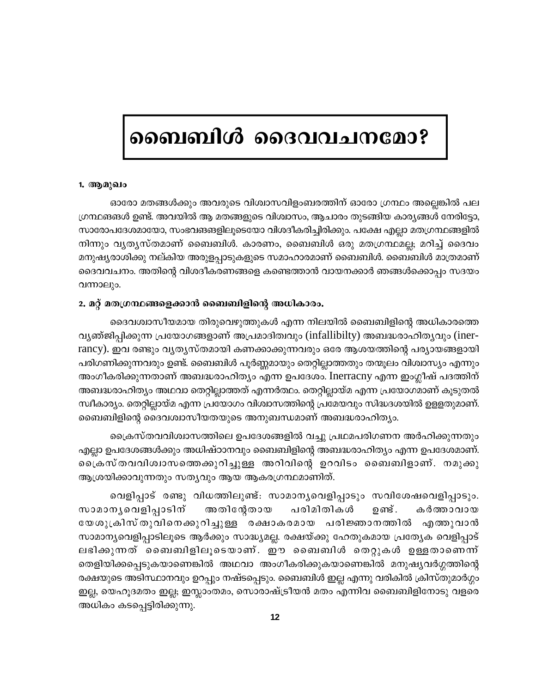## ബൈബിൾ ദൈവവചനമോ?

#### 1. ആമുഖം

ഓരോ മതങ്ങൾക്കും അവരുടെ വിശ്വാസവിളംബരത്തിന് ഓരോ ഗ്രന്ഥം അല്ലെങ്കിൽ പല ഗ്രന്ഥങങൾ ഉണ്ട്. അവയിൽ ആ മതങ്ങളുടെ വിശ്വാസം, ആചാരം തുടങ്ങിയ കാര്യങ്ങൾ നേരിട്ടോ, സാരോപദേശമായോ, സംഭവങങളിലൂടെയോ വിശദീകരിച്ചിരിക്കും. പക്ഷേ എല്ലാ മതഗ്രന്ഥങ്ങളിൽ നിന്നും വൃതൃസ്തമാണ് ബൈബിൾ. കാരണം, ബൈബിൾ ഒരു മതഗ്രന്ഥമല്ല; മറിച്ച് ദൈവം മനുഷ്യരാശിക്കു നല്കിയ അരുളപ്പാടുകളുടെ സമാഹാരമാണ് ബൈബിൾ. ബൈബിൾ മാത്രമാണ് ദൈവവചനം. അതിന്റെ വിശദീകരണങ്ങളെ കണ്ടെത്താൻ വായനക്കാർ ഞങ്ങൾക്കൊപ്പം സദയം വന്നാലും.

#### 2. മറ്റ് മതഗ്രന്ഥങ്ങളെക്കാൻ ബൈബിളിന്റെ അധികാരം.

ദൈവശ്വാസീയമായ തിരുവെഴുത്തുകൾ എന്ന നിലയിൽ ബൈബിളിന്റെ അധികാരത്തെ വൃഞ്ജിപ്പിക്കുന്ന പ്രയോഗങ്ങളാണ് അപ്രമാദിത്വവും (infallibilty) അബദ്ധരാഹിതൃവും (inerrancy). ഇവ രണ്ടും വൃതൃസ്തമായി കണക്കാക്കുന്നവരും ഒരേ ആശയത്തിന്റെ പര്യായങ്ങളായി പരിഗണിക്കുന്നവരും ഉണ്ട്. ബൈബിൾ പൂർണ്ണമായും തെറ്റില്ലാത്തതും തന്മൂലം വിശ്വാസ്യം എന്നും അംഗീകരിക്കുന്നതാണ് അബദ്ധരാഹിത്യം എന്ന ഉപദേശം. Inerracny എന്ന ഇംഗ്ലീഷ് പദത്തിന് അബദ്ധരാഹിത്യം അഥവാ തെറ്റില്ലാത്തത് എന്നർത്ഥം. തെറ്റില്ലായ്മ എന്ന പ്രയോഗമാണ് കൂടുതൽ സ്ഥീകാര്യം. തെറ്റില്ലായ്മ എന്ന പ്രയോഗം വിശ്വാസത്തിന്റെ പ്രമേയവും സിദ്ധദശയിൽ ഉള്ളതുമാണ്. ബൈബിളിന്റെ ദൈവശ്വാസീയതയുടെ അനുബന്ധമാണ് അബദ്ധരാഹിത്യം.

ക്രൈസ്തവവിശ്വാസത്തിലെ ഉപദേശങ്ങളിൽ വച്ചു പ്രഥമപരിഗണന അർഹിക്കുന്നതും എല്ലാ ഉപദേശങ്ങൾക്കും അധിഷ്ഠാനവും ബൈബിളിന്റെ അബദ്ധരാഹിത്യം എന്ന ഉപദേശമാണ്. പ്രൈകസ് തവവിശ്വാസത്തെക്കുറിച്ചുള്ള അറിവിന്റെ ഉറവിടം ബൈബിളാണ്. നമുക്കു ആശ്രയിക്കാവുന്നതും സത്യവും ആയ ആകരഗ്രന്ഥമാണിത്.

വെളിപ്പാട് രണ്ടു വിധത്തിലുണ്ട്: സാമാനൃവെളിപ്പാടും സവിശേഷവെളിപ്പാടും. സാമാനൃവെളിപ്പാടിന് അതിന്റേതായ പരിമിതികൾ ഉണ്ട് . കർത്താവായ യേശുക്രിസ്തുവിനെക്കുറിച്ചുള്ള രക്ഷാകരമായ പരിജ്ഞാനത്തിൽ എത്തുവാൻ സാമാന്യവെളിപ്പാടിലൂടെ ആർക്കും സാദ്ധ്യമല്ല. രക്ഷയ്ക്കു ഹേതുകമായ പ്രത്യേക വെളിപ്പാട് ലഭിക്കുന്നത് ബൈബിളിലൂടെയാണ്. ഈ ബൈബിൾ തെറ്റുകൾ ഉള്ളതാണെന്ന് തെളിയിക്കപ്പെടുകയാണെങ്കിൽ അഥവാ അംഗീകരിക്കുകയാണെങ്കിൽ മനുഷ്യവർഗ്ഗത്തിന്റെ രക്ഷയുടെ അടിസ്ഥാനവും ഉറപ്പും നഷ്ടപ്പെടും. ബൈബിൾ ഇല്ല എന്നു വരികിൽ ക്രിസ്തുമാർഗ്ഗം ഇല്ല, യെഹൂദമതം ഇല്ല; ഇസ്ലാംതമം, സൊരാഷ്ട്രീയൻ മതം എന്നിവ ബൈബിളിനോടു വളരെ അധികം കടപ്പെട്ടിരിക്കുന്നു.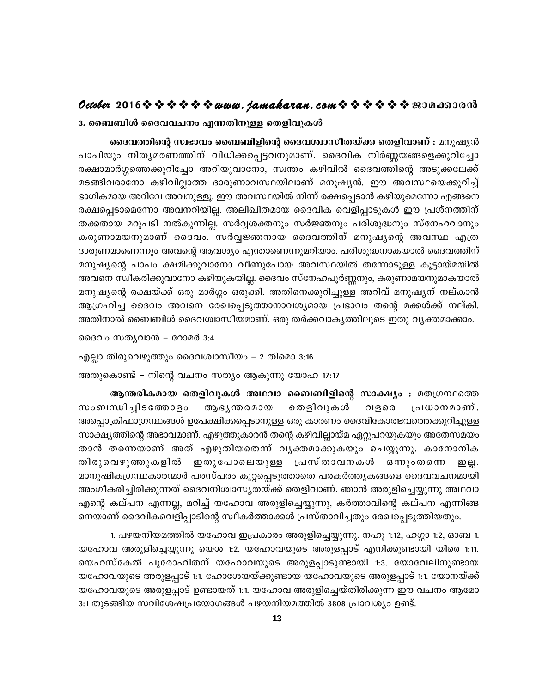#### 3. ബൈബിൾ ദൈവവചനം എന്നതിനുള്ള തെളിവുകൾ

**October 2016www.jamakaran.comPma¡mc³** ]m]nbpw \nXyacW¯n\ v hn[n¡s¸«h\pamW v. ssZhnI \nÀ®b§sf¡pdnt¨m **ദൈവത്തിന്റെ സ്ഥഭാവം ബൈബിളിന്റെ ദൈവശ്വാസീതയ്ക്ക തെളിവാണ് :** മനുഷ്യൻ രക്ഷാമാർഗ്ഗത്തെക്കുറിച്ചോ അറിയുവാനോ, സ്വന്തം കഴിവിൽ ദൈവത്തിന്റെ അടുക്കലേക്ക് പാപിയും നിതൃമരണത്തിന് വിധിക്കപ്പെട്ടവനുമാണ്. ദൈവിക നിർണ്ണയങ്ങളെക്കുറിച്ചോ<br>രക്ഷാമാർഗ്ഗത്തെക്കുറിച്ചോ അറിയുവാനോ, സ്വന്തം കഴിവിൽ ദൈവത്തിന്റെ അടുക്കലേക്ക്<br>മടങ്ങിവരാനോ കഴിവില്ലാത്ത ദാരുണാവസ്ഥയിലാണ് മനുഷൃൻ. ഈ അവസ്ഥയെക്കുറിച്ച് ഭാഗികമായ അറിവേ അവനുള്ളൂ. ഈ അവസ്ഥയിൽ നിന്ന് രക്ഷപ്പെടാൻ കഴിയുമെന്നോ എങ്ങനെ രക്ഷപ്പെടാമെന്നോ അവനറിയില്ല. അലിഖിതമായ ദൈവിക വെളിപ്പാടുകൾ ഈ പ്രശ്നത്തിന് തക്കതായ മറുപടി നൽകുന്നില്ല. സർവ്വശക്തനും സർജ്ഞനും പരിശുദ്ധനും സ്നേഹവാനും മടങ്ങിവരാനോ കഴിവില്ലാത്ത ദാരുണാവസ്ഥയിലാണ് മനുഷ്യൻ. ഈ അവസ്ഥയെക്കുറിച്ച്<br>ഭാഗികമായ അറിവേ അവനുള്ളൂ. ഈ അവസ്ഥയിൽ നിന്ന് രക്ഷപ്പെടാൻ കഴിയുമെന്നോ എങ്ങനെ<br>രക്ഷപ്പെടാമെന്നോ അവനറിയില്ല. അലിഖിതമായ ദൈവിക വെളിപ്പാടുകൾ ഈ പ്രശ്നത്തിന്<br>തക് ദാരുണമാണെന്നും അവന്റെ ആവശ്യം എന്താണെന്നുമറിയാം. പരിശുദ്ധനാകയാൽ ദൈവത്തിന് അവനെ സ്ഥീകരിക്കുവാനോ കഴിയുകയില്ല. ദൈവം സ്നേഹപൂർണ്ണനും, കരുണാമയനുമാകയാൽ മനുഷ്യന്റെ രക്ഷയ്ക്ക് ഒരു മാർഗ്ഗം ഒരുക്കി. അതിനെക്കുറിച്ചുള്ള അറിവ് മനുഷ്യന് നല്കാൻ ആഗ്രഹിച്ച ദൈവം അവനെ രേഖപ്പെടുത്താനാവശ്യമായ പ്രഭാവം തന്റെ മക്കൾക്ക് നല്കി. അതിനാൽ ബൈബിൾ ദൈവശ്വാസീയമാണ്. ഒരു തർക്കവാകൃത്തിലൂടെ ഇതു വൃക്തമാക്കാം.

ദൈവം സത്യവാൻ – റോമർ 3:4

എല്ലാ തിരുവെഴുത്തും ദൈവശ്വാസീയം – 2 തിമൊ 3:16

അതുകൊണ്ട് – നിന്റെ വചനം സത്യം ആകുന്നു യോഹ 17:17

ആന്തരികമായ തെളിവുകൾ അഥവാ ബൈബിളിന്റെ സാക്ഷ്യം : മതഗ്രന്ഥത്തെ എല്ലാ തിരുവെഴുത്തും ദൈവശ്വാസീയം – 2 തിമൊ 3:16<br>അതുകൊണ്ട് – നിന്റെ വചനം സത്യം ആകുന്നു യോഹ 17:17<br>- ആ**ന്തരികമായ തെളിവുകൾ അഥവാ ബൈബിളിന്റെ സാക്ഷ്യം :** മതഗ്രന്ഥത്തെ<br>സംബന്ധിച്ചിടത്തോളം - ആഭ്യന്തരമായ - തെളിവുകൾ - വളരെ - പ്രധാനമാണ് അപ്പൊക്രിഫാഗ്രന്ഥങ്ങൾ ഉപേക്ഷിക്കപ്പെടാനുള്ള ഒരു കാരണം ദൈവികോത്ഭവത്തെക്കുറിച്ചുള്ള സാക്ഷ്യത്തിന്റെ അഭാവമാണ്. എഴുത്തുകാരൻ തന്റെ കഴിവില്ലായ്മ ഏറ്റുപറയുകയും അതേസമയം ആന്തരികമായ തെളിവുകൾ അഥവാ ബൈബിളിന്റെ സാക്ഷ്യം : മതഗ്രന്ഥത്തെ<br>സംബന്ധിച്ചിടത്തോളം ആഭ്യന്തരമായ തെളിവുകൾ വളരെ പ്രധാനമാണ്.<br>അപ്പൊക്രിഫാഗ്രന്ഥങ്ങൾള്ട്രേക്ഷിക്കപ്പെടാനുള്ള ഒരു കാരണം ദൈവികോത്ഭവത്തെക്കുറിച്ചുള്ള<br>സാക്ഷ്യത്തിന്റെ അഭാവ സംബന്ധിച്ചിടത്തോളം ആഭൃന്തരമായ തെളിവുകൾ വളരെ പ്രധാനമാണ്.<br>അപ്പൊക്രിഫാഗ്രന്ഥങ്ങൾഇപേക്ഷിക്കപ്പെടാനുള്ള ഒരു കാരണം ദൈവികോത്ഭവത്തെക്കുറിച്ചുള്ള<br>സാക്ഷ്യത്തിന്റെ അഭാവമാണ്. എഴുത്തുകാരൻ തന്റെ കഴിവില്ലായ്മ ഏറ്റുപറയുകയും അതേസമയം<br>താൻ ത മാനുഷികഗ്രന്ഥകാരന്മാർ പരസ്പരം കുറ്റപ്പെടുത്താതെ പരകർത്തൃകങ്ങളെ ദൈവവചനമായി അംഗീകരിച്ചിരിക്കുന്നത് ദൈവനിശ്വാസൃതയ്ക്ക് തെളിവാണ്. ഞാൻ അരുളിച്ചെയ്യുന്നു അഥവാ എന്റെ കല്പന എന്നല്ല, മറിച്ച് യഹോവ അരുളിച്ചെയ്യുന്നു, കർത്താവിന്റെ കല്പന എന്നിങ്ങ നെയാണ് ദൈവികവെളിപ്പാടിന്റെ സ്വീകർത്താക്കൾ പ്രസ്താവിച്ചതും രേഖപ്പെടുത്തിയതും.

1. പഴയനിയമത്തിൽ യഹോവ ഇപ്രകാരം അരുളിച്ചെയ്യുന്നു. നഹൂ 1:12, ഹഗ്ഗാ 1:2, ഓബ 1. യഹോവ അരുളിച്ചെയ്യുന്നു യെശ 1:2. യഹോവയുടെ അരുളപ്പാട് എനിക്കുണ്ടായി യിരെ 1:11. എന്റെ കല്പ്പറ എന്നല്ല, മറച്ച് യ്ഫോവ് അരുളച്ചെയ്യുന്നു, കര്ത്താവന്റെ കല്പ്പറ എന്നങ്ങ<br>നെയാണ് ദൈവികവെളിപ്പാടിന്റെ സ്ഥീകർത്താക്കൾ പ്രസ്താവിച്ചതും രേഖപ്പെടുത്തിയതും.<br>1. പഴയനിയമത്തിൽ യഹോവ ഇപ്രകാരം അരുളിച്ചെയ്യുന്നു. നഹൂ 1:12, ഹ യഹോവയുടെ അരുളപ്പാട് 1:1. ഹോശേയയ്ക്കുണ്ടായ യഹോവയുടെ അരുളപ്പാട് 1:1. യോനയ്ക്ക് യഹോവയുടെ അരുളപ്പാട് ഉണ്ടായത് 1:1. യഹോവ അരുളിച്ചെയ്തിരിക്കുന്ന ഈ വചനം ആമോ 3:1 തുടങ്ങിയ സവിശേഷപ്രയോഗങ്ങൾ പഴയനിയമത്തിൽ 3808 പ്രാവശ്യം ഉണ്ട്.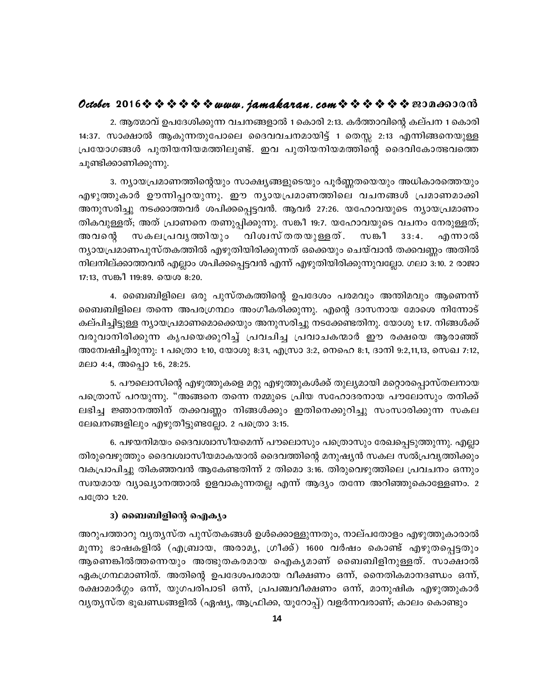## October 2016  $\diamond$   $\diamond$   $\diamond$   $\diamond$   $\diamond$   $\diamond$  www.jamakaran.com  $\diamond$   $\diamond$   $\diamond$   $\diamond$   $\diamond$   $\diamond$   $\diamond$  200 as 300

2. ആത്മാവ് ഉപദേശിക്കുന്ന വചനങ്ങളാൽ 1 കൊരി 2:13. കർത്താവിന്റെ കല്പന 1 കൊരി 14:37. സാക്ഷാൽ ആകുന്നതുപോലെ ദൈവവചനമായിട്ട് 1 തെസ്സ 2:13 എന്നിങ്ങനെയുള്ള പ്രയോഗങ്ങൾ പുതിയനിയമത്തിലുണ്ട്. ഇവ പുതിയനിയമത്തിന്റെ ദൈവികോത്ഭവത്തെ ചുണ്ടിക്കാണിക്കുന്നു.

3. ന്യായപ്രമാണത്തിന്റെയും സാക്ഷ്യങ്ങളുടെയും പൂർണ്ണതയെയും അധികാരത്തെയു<mark>ം</mark> എഴുത്തുകാർ ഊന്നിപ്പറയുന്നു. ഈ നൃായപ്രമാണത്തിലെ വചനങ്ങൾ പ്രമാണമാക്കി അനുസരിച്ചു നടക്കാത്തവർ ശപിക്കപ്പെട്ടവൻ. ആവർ 27:26. യഹോവയുടെ ന്യായപ്രമാണം തികവുള്ളത്; അത് പ്രാണനെ തണുപ്പിക്കുന്നു. സങ്കീ 19:7. യഹോവയുടെ വചനം നേരുള്ളത്; വിശ്വസ് തതയുള്ളത് . അവന്റെ സകലപ്രവൃത്തിയും സങ്കീ  $33:4.$ എന്നാൽ ന്യായപ്രമാണപുസ്തകത്തിൽ എഴുതിയിരിക്കുന്നത് ഒക്കെയും ചെയ്വാൻ തക്കവണ്ണം അതിൽ നിലനില്ക്കാത്തവൻ എല്ലാം ശപിക്കപ്പെട്ടവൻ എന്ന് എഴുതിയിരിക്കുന്നുവല്ലോ. ഗലാ 3:10. 2 രാജാ 17:13, സങ്കീ 119:89. യെശ 8:20.

4. ബൈബിളിലെ ഒരു പുസ്തകത്തിന്റെ ഉപദേശം പരമവും അന്തിമവും ആണെന്ന് ബൈബിളിലെ തന്നെ അപരഗ്രന്ഥം അംഗീകരിക്കുന്നു. എന്റെ ദാസനായ മോശെ നിന്നോട് കല്പിച്ചിട്ടുള്ള ന്യായപ്രമാണമൊക്കെയും അനുസരിച്ചു നടക്കേണ്ടതിനു. യോശു 1:17. നിങ്ങൾക്ക് വരുവാനിരിക്കുന്ന കൃപയെക്കുറിച്ച് പ്രവചിച്ച പ്രവാചകന്മാർ ഈ രക്ഷയെ ആരാഞ്ഞ് അന്വേഷിച്ചിരുന്നു: 1 പത്രൊ 1:10, യോശു 8:31, എസ്രാ 3:2, നെഹെ 8:1, ദാനി 9:2,11,13, സെഖ 7:12, മലാ 4:4, അപ്പൊ 1:6, 28:25.

5. പൗലൊസിന്റെ എഴുത്തുകളെ മറ്റു എഴുത്തുകൾക്ക് തുല്യമായി മറ്റൊരപ്പൊസ്തലനായ പത്രൊസ് പറയുന്നു. "അങ്ങനെ തന്നെ നമ്മുടെ പ്രിയ സഹോദരനായ പൗലോസും തനിക്ക് ലഭിച്ച ജ്ഞാനത്തിന് തക്കവണ്ണം നിങ്ങൾക്കും ഇതിനെക്കുറിച്ചു സംസാരിക്കുന്ന സകല ലേഖനങ്ങളിലും എഴുതീട്ടുണ്ടല്ലോ. 2 പത്രൊ 3:15.

6. പഴയനിമയം ദൈവശ്വാസീയമെന്ന് പൗലൊസും പത്രൊസും രേഖപ്പെടുത്തുന്നു. എല്ലാ തിരുവെഴുത്തും ദൈവശ്വാസീയമാകയാൽ ദൈവത്തിന്റെ മനുഷ്യൻ സകല സൽപ്രവൃത്തിക്കും വകപ്രാപിച്ചു തികഞ്ഞവൻ ആകേണ്ടതിന്ന് 2 തിമൊ 3:16. തിരുവെഴുത്തിലെ പ്രവചനം ഒന്നും സ്വയമായ വ്യാഖ്യാനത്താൽ ഉളവാകുന്നതല്ല എന്ന് ആദ്യം തന്നേ അറിഞ്ഞുകൊള്ളേണം. 2 പത്രോ 1:20.

#### 3) ബൈബിളിന്റെ ഐക്യം

അറുപത്താറു വൃതൃസ്ത പുസ്തകങ്ങൾ ഉൾക്കൊള്ളുന്നതും, നാല്പതോളം എഴുത്തുകാരാൽ മൂന്നു ഭാഷകളിൽ (എബ്രായ, അരാമൃ, ഗ്രീക്ക്) 1600 വർഷം കൊണ്ട് എഴുതപ്പെട്ടതും ആണെങ്കിൽത്തന്നെയും അത്ഭുതകരമായ ഐകൃമാണ് ബൈബിളിനുള്ളത്. സാക്ഷാൽ ഏകഗ്രന്ഥമാണിത്. അതിന്റെ ഉപദേശപരമായ വീക്ഷണം ഒന്ന്, നൈതികമാനദണ്ഡം ഒന്ന്, രക്ഷാമാർഗ്ഗം ഒന്ന്, യുഗപരിപാടി ഒന്ന്, പ്രപഞ്ചവീക്ഷണം ഒന്ന്, മാനുഷിക എഴുത്തുകാർ വൃതൃസ്ത ഭൂഖണ്ഡങ്ങളിൽ (ഏഷ്യ, ആഫ്രിക്ക, യൂറോപ്പ്) വളർന്നവരാണ്; കാലം കൊണ്ടും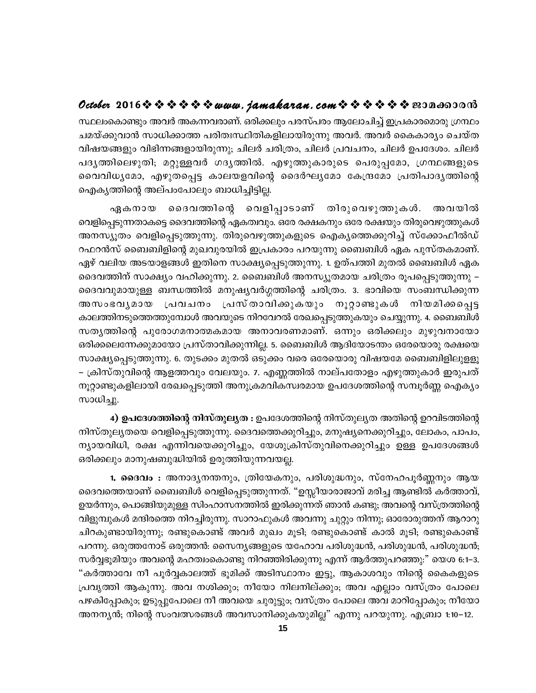സ്ഥലംകൊണ്ടും അവർ അകന്നവരാണ്. ഒരിക്കലും പരസ്പരം ആലോചിച്ച് ഇപ്രകാരമൊരു ഗ്രന്ഥം ചമയ്ക്കുവാൻ സാധിക്കാത്ത പരിതഃസ്ഥിതികളിലായിരുന്നു അവർ. അവർ കൈകാര്യം ചെയ്ത വിഷയങ്ങളും വിഭിന്നങ്ങളായിരുന്നു; ചിലർ ചരിത്രം, ചിലർ പ്രവചനം, ചിലർ ഉപദേശം. ചിലർ പദൃത്തിലെഴുതി; മറ്റുള്ളവർ ഗദൃത്തിൽ. എഴുത്തുകാരുടെ പെരുപ്പമോ, ഗ്രന്ഥങ്ങളുടെ വൈവിധ്യമോ, എഴുതപ്പെട്ട കാലയളവിന്റെ ദൈർഘ്യമോ കേന്ദ്രമോ പ്രതിപാദ്യത്തിന്റെ ഐക്യത്തിന്റെ അല്പാപോലും ബാധിച്ചിട്ടില്ല.

ഏകനായ ദൈവത്തിന്റെ വെളിപ്പാടാണ് തിരുവെഴുത്തുകൾ. അവയിൽ വെളിപ്പെടുന്നതാകട്ടെ ദൈവത്തിന്റെ ഏകത്വവും. ഒരേ രക്ഷകനും ഒരേ രക്ഷയും തിരുവെഴുത്തുകൾ അനസ്യൂതം വെളിപ്പെടുത്തുന്നു. തിരുവെഴുത്തുകളുടെ ഐക്യത്തെക്കുറിച്ച് സ്ക്കോഫീൽഡ് റഫറൻസ് ബൈബിളിന്റെ മുഖവുരയിൽ ഇപ്രകാരം പറയുന്നു ബൈബിൾ ഏക പുസ്തകമാണ്. ഏഴ് വലിയ അടയാളങ്ങൾ ഇതിനെ സാക്ഷ്യപ്പെടുത്തുന്നു. 1. ഉത്പത്തി മുതൽ ബൈബിൾ ഏക ദൈവത്തിന് സാക്ഷ്യം വഹിക്കുന്നു. 2. ബൈബിൾ അനസ്യൂതമായ ചരിത്രം രൂപപ്പെടുത്തുന്നു – ദൈവവുമായുള്ള ബന്ധത്തിൽ മനുഷ്യവർഗ്ഗത്തിന്റെ ചരിത്രം. 3. ഭാവിയെ സംബന്ധിക്കുന്ന ്പവചനം പ്രസ്താവിക്കുകയും നൂറ്റാണ്ടുകൾ നിയമിക്കപ്പെട്ട അസംഭവൃമായ കാലത്തിനടുത്തെത്തുമ്പോൾ അവയുടെ നിറവേറൽ രേഖപ്പെടുത്തുകയും ചെയ്യുന്നു. 4. ബൈബിൾ സതൃത്തിന്റെ പുരോഗമനാത്മകമായ അനാവരണമാണ്. ഒന്നും ഒരിക്കലും മുഴുവനായോ ഒരിക്കലെന്നേക്കുമായോ പ്രസ്താവിക്കുന്നില്ല. 5. ബൈബിൾ ആദിയോടന്തം ഒരേയൊരു രക്ഷയെ സാക്ഷ്യപ്പെടുത്തുന്നു. 6. തുടക്കം മുതൽ ഒടുക്കം വരെ ഒരേയൊരു വിഷയമേ ബൈബിളിലുളളൂ – ക്രിസ്തുവിന്റെ ആളത്തവും വേലയും. 7. എണ്ണത്തിൽ നാല്പതോളം എഴുത്തുകാർ ഇരുപത് നൂറ്റാണ്ടുകളിലായി രേഖപ്പെടുത്തി അനുക്രമവികസ്വരമായ ഉപദേശത്തിന്റെ സമ്പൂർണ്ണ ഐക്യം സാധിച്ചു.

4) **ഉപദേശത്തിന്റെ നിസ്തുല്യത :** ഉപദേശത്തിന്റെ നിസ്തുല്യത അതിന്റെ ഉറവിടത്തിന്റെ നിസ്തുല്യതയെ വെളിപ്പെടുത്തുന്നു. ദൈവത്തെക്കുറിച്ചും, മനുഷ്യനെക്കുറിച്ചും, ലോകം, പാപം, ന്യായവിധി, രക്ഷ എന്നിവയെക്കുറിച്ചും, യേശുക്രിസ്തുവിനെക്കുറിച്ചും ഉള്ള ഉപദേശങ്ങൾ ഒരിക്കലും മാനുഷബുദ്ധിയിൽ ഉരുത്തിയുന്നവയല്ല.

1. ദൈവം : അനാദൃനന്തനും, ത്രിയേകനും, പരിശുദ്ധനും, സ്നേഹപൂർണ്ണനും ആയ ദൈവത്തെയാണ് ബൈബിൾ വെളിപ്പെടുത്തുന്നത്. "ഉസ്സീയാരാജാവ് മരിച്ച ആണ്ടിൽ കർത്താവ്, ഉയർന്നും, പൊങ്ങിയുമുള്ള സിംഹാസനത്തിൽ ഇരിക്കുന്നത് ഞാൻ കണ്ടു; അവന്റെ വസ്ത്രത്തിന്റെ വിളുമ്പുകൾ മന്ദിരത്തെ നിറച്ചിരുന്നു. സാറാഫുകൾ അവന്നു ചുറ്റും നിന്നു; ഓരോരുത്തന് ആറാറു ചിറകുണ്ടായിരുന്നു; രണ്ടുകൊണ്ട് അവർ മുഖം മൂടി; രണ്ടുകൊണ്ട് കാൽ മൂടി; രണ്ടുകൊണ്ട് പറന്നു. ഒരുത്തനോട് ഒരുത്തൻ: സൈന്യങ്ങളുടെ യഹോവ പരിശുദ്ധൻ, പരിശുദ്ധൻ, പരിശുദ്ധൻ; സർവ്വഭൂമിയും അവന്റെ മഹത്വംകൊണ്ടു നിറഞ്ഞിരിക്കുന്നു എന്ന് ആർത്തുപറഞ്ഞു:" യെശ 6:1–3. "കർത്താവേ നീ പൂർവ്വകാലത്ത് ഭൂമിക്ക് അടിസ്ഥാനം ഇട്ടു, ആകാശവും നിന്റെ കൈകളുടെ പ്രവൃത്തി ആകുന്നു. അവ നശിക്കും; നീയോ നിലനില്ക്കും; അവ എല്ലാം വസ്ത്രം പോലെ പഴകിപ്പോകും; ഉടുപ്പുപോലെ നീ അവയെ ചുരുട്ടും; വസ്ത്രം പോലെ അവ മാറിപ്പോകും; നീയോ അനന്യൻ; നിന്റെ സംവത്സരങ്ങൾ അവസാനിക്കുകയുമില്ല" എന്നു പറയുന്നു. എബ്രാ 1:10–12.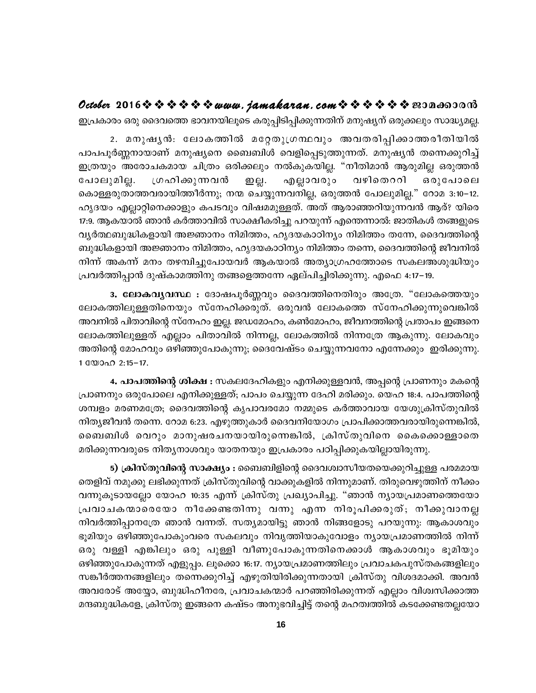## *Octobe***r 2016❖ ❖ ❖ ❖ ❖ ❖** *™www.jamakaran.com* **❖ ❖ ❖ ❖ ❖ ≌3Da603018**

ഇപ്രകാരം ഒരു ദൈവത്തെ ഭാവനയിലൂടെ കരുപ്പിടിപ്പിക്കുന്നതിന് മനുഷ്യന് ഒരുക്കലും സാദ്ധ്യമല്ല.

2. a\pjy³: temI¯n atäXp{KÙhpw AhXcn¸n¡m¯c oXnbnÂ പാപപൂർണ്ണനായാണ് മനുഷ്യനെ ബൈബിൾ വെളിപ്പെടുത്തുന്നത്. മനുഷ്യൻ തന്നെക്കുറിച്ച് ഇത്രയും അരോചകമായ ചിത്രം ഒരിക്കലും നൽകുകയില്ല. "നീതിമാൻ ആരുമില്ല ഒരുത്തൻ ഇപ്രകാരാ ഒരു ദൈവത്തെ ടാവസ്തിലൂടെ കരുപ്പടിപ്പിക്കുന്നതന്ന് മനുഷുന്ന ഒരുക്കലുറ സാദ്ധ്യമല്ല.<br>2. മനുഷൃൻ: ലോകത്തിൽ മറ്റേതുന്നവരും അവതരിപ്പിക്കാത്തരീതിയിൽ<br>പാപപൂർണ്ണനായാണ് മനുഷൃനെ ബൈബിൾ വെളിപ്പെടുത്തുന്നത്. മനുഷൃൻ തന്നെക്കുറിച്ച കൊള്ളരുതാത്തവരായിത്തീർന്നു; നന്മ ചെയ്യുന്നവനില്ല, ഒരുത്തൻ പോലുമില്ല." റോമ 3:10−12. ഹൃദയം എല്ലാറ്റിനെക്കാളും കപടവും വിഷമമുള്ളത്. അത് ആരാഞ്ഞറിയുന്നവൻ ആര്? യിരെ 17:9. ആകയാൽ ഞാൻ കർത്താവിൽ സാക്ഷീകരിച്ചു പറയുന്ന് എന്തെന്നാൽ: ജാതികൾ തങ്ങളുടെ വൃർത്ഥബുദ്ധികളായി അജ്ഞാനം നിമിത്തം, ഹൃദയകാഠിനൃം നിമിത്തം തന്നേ, ദൈവത്തിന്റെ ബുദ്ധികളായി അജ്ഞാനം നിമിത്തം, ഹൃദയകാഠിന്യം നിമിത്തം തന്നെ, ദൈവത്തിന്റെ ജീവനിൽ നിന്ന് അകന്ന് മനം തഴമ്പിച്ചുപോയവർ ആകയാൽ അത്യാഗ്രഹത്തോടെ സകലഅശുദ്ധിയും {പവർത്തിപ്പാൻ ദുഷ്കാമത്തിനു തങ്ങളെത്തന്നേ ഏല്പിച്ചിരിക്കുന്നു. എഫെ 4:17–19.

3**. ലോകവൃവസ്ഥ :** ദോഷപൂർണ്ണവും ദൈവത്തിനെതിരും അത്രേ. "ലോകത്തെയും ്വുദ്ധകളായി അജ്ഞാനാ നമിത്താ, ഹൂടയ്കാഠിനുറ നമിത്താ തന്നെ, ദൈവത്തിന്റെ ജീവനിയ<br>നിന്ന് അകന്ന് മനം തഴമ്പിച്ചുപോയവർ ആകയാൽ അത്യാഗ്രഹത്തോടെ സകലഅശുദ്ധിയും<br>പ്രവർത്തിപ്പാൻ ദുഷ്കാമത്തിനു തങ്ങളെത്തന്നേ ഏല്പിച്ചിരിക്കുന്നു. എഫെ 4:17–19 അവനിൽ പിതാവിന്റെ സ്നേഹം ഇല്ല. ജഡമോഹം, കൺമോഹം, ജീവനത്തിന്റെ പ്രതാപം ഇങ്ങനെ അതിന്റെ മോഹവും ഒഴിഞ്ഞുപോകുന്നു; ദൈവേഷ്ടം ചെയ്യുന്നവനോ എന്നേക്കും ഇരിക്കുന്നു.  $1$   $\mathbb{CD}$  $\Omega$   $2:15-17$ .

4**. പാപത്തിന്റെ ശിക്ഷ :** സകലദേഹികളും എനിക്കുള്ളവൻ, അപ്പന്റെ പ്രാണനും മകന്റെ (പാണനും ഒരുപോലെ എനിക്കുള്ളത്; പാപം ചെയ്യുന്ന ദേഹി മരിക്കും. യെഹ 18:4. പാപത്തിന്റെ ശമ്പളം മരണമത്രേ; ദൈവത്തിന്റെ കൃപാവരമോ നമ്മുടെ കർത്താവായ യേശുക്രിസ്തുവിൽ നിതൃജീവൻ തന്നെ. റോമ 6:23. എഴുത്തുകാർ ദൈവനിയോഗം പ്രാപിക്കാത്തവരായിരുന്നെങ്കിൽ, 4. പാപത്തിന്റെ ശിക്ഷ : സകലദേഹികളും എനിക്കുള്ളവൻ, അപ്പന്റെ പ്രാണനും മകന്റെ<br>പ്രാണനും ഒരുപോലെ എനിക്കുള്ളത്; പാപം ചെയ്യുന്ന ദേഹി മരിക്കും. യെഹ 18:4. പാപത്തിന്റെ<br>ശമ്പളം മരണമത്രേ, ദൈവത്തിന്റെ കൃപാവരമോ നമ്മുടെ കർത്താവായ യേശുക്രി മരിക്കുന്നവരുടെ നിതൃനാശവും യാതനയും ഇപ്രകാരം പഠിപ്പിക്കുകയില്ലായിരുന്നു.

5**) ക്രിസ്തുവിന്റെ സാക്ഷ്യം :** ബൈബിളിന്റെ ദൈവശ്വാസീയതയെക്കുറിച്ചുള്ള പരമമായ തെളിവ് നമുക്കു ലഭിക്കുന്നത് ക്രിസ്തുവിന്റെ വാക്കുകളിൽ നിന്നുമാണ്. തിരുവെഴുത്തിന് നീക്കം വന്നുകൂടായല്ലോ യോഹ 10:35 എന്ന് ക്രിസ്തു പ്രഖ്യാപിച്ചു. "ഞാൻ ന്യായപ്രമാണത്തെയോ മരക്കുന്നവരുടെ നിരുനാരവുര യാതനയും ഇപ്രകാരം പാപ്പിക്കുകയില്ലായിരുന്നു.<br>- 5) **ക്രിസ്തുവിന്റെ സാക്ഷ്യം :** ബൈബിളിന്റെ ദൈവശ്വാസീയതയെക്കുറിച്ചുള്ള പരമമായ<br>തെളിവ് നമുക്കു ലഭിക്കുന്നത് ക്രിസ്തുവിന്റെ വാക്കുകളിൽ നിന്നുമാണ്. തിരുവെഴ നിവർത്തിപ്പാനത്രേ ഞാൻ വന്നത്. സത്യമായിട്ടു ഞാൻ നിങ്ങളോടു പറയുന്നു: ആകാശവും ഭൂമിയും ഒഴിഞ്ഞുപോകുംവരെ സകലവും നിവൃത്തിയാകുവോളം നൃായപ്രമാണത്തിൽ നിന്ന് ഒരു വള്ളി എങ്കിലും ഒരു പുള്ളി വീണുപോകുന്നതിനെക്കാൾ ആകാശവും ഭൂമിയും ഒഴിഞ്ഞുപോകുന്നത് എളുപ്പം. ലൂക്കൊ 16:17. ന്യായപ്രമാണത്തിലും പ്രവാചകപുസ്തകങ്ങളിലും സങ്കീർത്തനങ്ങളിലും തന്നെക്കുറിച്ച് എഴുതിയിരിക്കുന്നതായി ക്രിസ്തു വിശദമാക്കി. അവൻ അവരോട് അയ്യോ, ബുദ്ധിഹീനരേ, പ്രവാചകന്മാർ പറഞ്ഞിരിക്കുന്നത് എല്ലാം വിശ്വസിക്കാത്ത മന്ദബുദ്ധികളേ, ക്രിസ്തു ഇങ്ങനെ കഷ്ടം അനുഭവിച്ചിട്ട് തന്റെ മഹത്വത്തിൽ കടക്കേണ്ടതല്ലയോ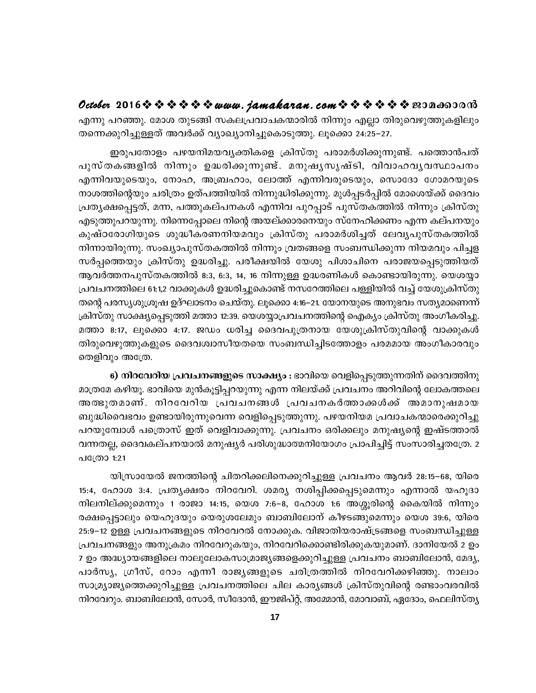**October** 2016  $\diamond$   $\diamond$   $\diamond$   $\diamond$   $\diamond$   $\diamond$  www.jamakaran.com  $\diamond$   $\diamond$   $\diamond$   $\diamond$   $\diamond$   $\diamond$   $\diamond$  200 a600000 എന്നു പറഞ്ഞു. മോശ തുടങ്ങി സകലപ്രവാചകന്മാരിൽ നിന്നും എല്ലാ തിരുവെഴുത്തുകളിലും തന്നെക്കുറിച്ചുള്ളത് അവർക്ക് വ്യാഖ്യാനിച്ചുകൊടുത്തു. ലൂക്കൊ 24:25–27.

ഇരുപതോളം പഴയനിമയവൃക്തികളെ ക്രിസ്തു പരാമർശിക്കുന്നുണ്ട്. പത്തൊൻപത് ്ക്ക്ക് 2515 V V V V V WWW. *yamaha waan. Com* V V V V V Gos മങ്കാര് സ<br>എന്നു പറഞ്ഞു. മോശ തുടങ്ങി സകലപ്രവാചകന്മാരിൽ നിന്നും എല്ലാ തിരുവെഴുത്തുകളിലും<br>തന്നെക്കുറിച്ചുള്ളത് അവർക്ക് വ്യാഖ്യാനിച്ചുകൊടുത്തു. ലൂക്കൊ 24:25–27.<br>പുസ എന്നിവയുടെയും, നോഹ, അബ്രഹാം, ലോത്ത് എന്നിവരുടെയും, സൊദോ ഗോമറയുടെ നാശത്തിന്റെയും ചരിത്രം ഉത്പത്തിയിൽ നിന്നുദ്ധിരിക്കുന്നു. മുൾപ്പടർപ്പിൽ മോശെയ്ക്ക് ദൈവം പ്രത്യക്ഷപ്പെട്ടത്, മന്ന, പത്തുകല്പനകൾ എന്നിവ പുറപ്പാട് പുസ്തകത്തിൽ നിന്നും ക്രിസ്തു എടുത്തുപറയുന്നു. നിന്നെപ്പോലെ നിന്റെ അയല്ക്കാരനെയും സ്നേഹിക്കണം എന്ന കല്പനയും എന്നിവയുടെയും, നോഹ, അബ്രഹാം, ലോത്ത് എന്നിവരുടെയും, സൊദോ ഗോമറയുടെ<br>നാശത്തിന്റെയും ചരിത്രം ഉത്പത്തിയിൽ നിന്നുദ്ധിരിക്കുന്നു. മുൾപ്പടർപ്പിൽ മോശെയ്ക്ക് ദൈവം<br>പ്രത്യക്ഷപ്പെട്ടത്, മന്ന, പത്തുകല്പനകൾ എന്നിവ പുറപ്പാട് പുസ്തകത്തിൽ ന നിന്നായിരുന്നു. സംഖ്യാപുസ്തകത്തിൽ നിന്നും വ്രതങ്ങളെ സംബന്ധിക്കുന്ന നിയമവും പിച്ചള സർപ്പത്തെയും ക്രിസ്തു ഉദ്ധരിച്ചു. പരീക്ഷയിൽ യേശു പിശാചിനെ പരാജയപ്പെടുത്തിയത് ആവർത്തനപുസ്തകത്തിൽ 8:3, 6:3, 14, 16 നിന്നുള്ള ഉദ്ധരണികൾ കൊണ്ടായിരുന്നു. യെശയ്യാ {പവചനത്തിലെ 61:1,2 വാക്കുകൾ ഉദ്ധരിച്ചുകൊണ്ട് നസറേത്തിലെ പള്ളിയിൽ വച്ച് യേശുക്രിസ്തു തന്റെ പരസ്യശുശ്രൂഷ ഉദ്ഘാടനം ചെയ്തു. ലൂക്കൊ 4:16–21. യോനയുടെ അനുഭവം സത്യമാണെന്ന് ക്രിസ്തു സാക്ഷ്യപ്പെടുത്തി മത്താ 12:39. യെശയ്യാപ്രവചനത്തിന്റെ ഐക്യം ക്രിസ്തു അംഗീകരിച്ചു. മത്താ 8:17, ലൂക്കൊ 4:17. ജഡം ധരിച്ച ദൈവപുത്രനായ യേശുക്രിസ്തുവിന്റെ വാക്കുകൾ തിരുവെഴുത്തുകളുടെ ദൈവശ്വാസീയതയെ സംബന്ധിച്ചിടത്തോളം പരമമായ അംഗീകാരവും തെളിവും അത്രേ.

6) നിറവേറിയ പ്രവചനങ്ങളുടെ സാക്ഷ്യം : ഭാവിയെ വെളിപ്പെടുത്തുന്നതിന് ദൈവത്തിനു മാത്രമേ കഴിയൂ. ഭാവിയെ മുൻകൂട്ടിപ്പറയുന്നു എന്ന നിലയ്ക്ക് പ്രവചനം അറിവിന്റെ ലോകത്തലെ അത്ഭുതമാണ്. നിറവേറിയ പ്രവചനങ്ങൾ പ്രവചനകർത്താക്കൾക്ക് അമാനുഷമായ ബുദ്ധിവൈഭവം ഉണ്ടായിരുന്നുവെന്ന വെളിപ്പെടുത്തുന്നു. പഴയനിയമ പ്രവാചകന്മാരെക്കുറിച്ചു പറയുമ്പോൾ പത്രൊസ് ഇത് വെളിവാക്കുന്നു. പ്രവചനം ഒരിക്കലും മനുഷ്യന്റെ ഇഷ്ടത്താൽ വന്നതല്ല, ദൈവകല്പനയാൽ മനുഷ്യർ പരിശുദ്ധാത്മനിയോഗം പ്രാപിച്ചിട്ട് സംസാരിച്ചതത്രേ. 2 പത്രോ 1:21

യിസ്രായേൽ ജനത്തിന്റെ ചിതറിക്കലിനെക്കുറിച്ചുള്ള പ്രവചനം ആവർ 28:15–68, യിരെ 15:4, ഹോശ 3:4. പ്രതൃക്ഷരം നിറവേറി. ശമര്യ നശിപ്പിക്കപ്പെടുമെന്നും എന്നാൽ യഹൂദാ നിലനില്ക്കുമെന്നും 1 രാജാ 14:15, യെശ 7:6–8, ഹോശ 1:6 അശ്ശൂരിന്റെ കൈയിൽ നിന്നും രക്ഷപ്പെട്ടാലും യെഹൂദയും യെരുശലേമും ബാബിലോന് കീഴടങ്ങുമെന്നും യെശ 39:6, യിരെ 25:9–12 ഉള്ള പ്രവചനങ്ങളുടെ നിറവേറൽ നോക്കുക. വിജാതിയരാഷ്ട്രങ്ങളെ സംബന്ധിച്ചുള്ള പ്രവചനങ്ങളും അനുക്രമം നിറവേറുകയും, നിറവേറിക്കൊണ്ടിരിക്കുകയുമാണ്. ദാനിയേൽ 2 ഉം 7 ഉം അദ്ധ്യായങ്ങളിലെ നാലുലോകസാമ്രാജ്യങ്ങളെക്കുറിച്ചുള്ള പ്രവചനം ബാബിലോൻ, മേദ്യ, രക്ഷപ്പെട്ടാലും യെഹൂദയും യെരുശലേമും ബാബിലോന് കീഴടങ്ങുമെന്നും യെശ 39:6, യിരെ<br>25:9–12 ഉള്ള പ്രവചനങ്ങളുടെ നിറവേറൽ നോക്കുക. വിജാതിയരാഷ്ട്രങ്ങളെ സംബന്ധിച്ചുള്ള<br>പ്രവചനങ്ങളും അനുക്രമം നിറവേറുകയും, നിറവേറിക്കൊണ്ടിരിക്കുകയുമാണ്. ദ സാമ്ര്യാജ്യത്തെക്കുറിച്ചുള്ള പ്രവചനത്തിലെ ചില കാര്യങ്ങൾ ക്രിസ്തുവിന്റെ രണ്ടാംവരവിൽ നിറവേറും. ബാബിലോൻ, സോർ, സീദോൻ, ഈജിപ്റ്റ്, അമ്മോൻ, മോവാബ്, ഏദോം, ഫെലിസ്തൃ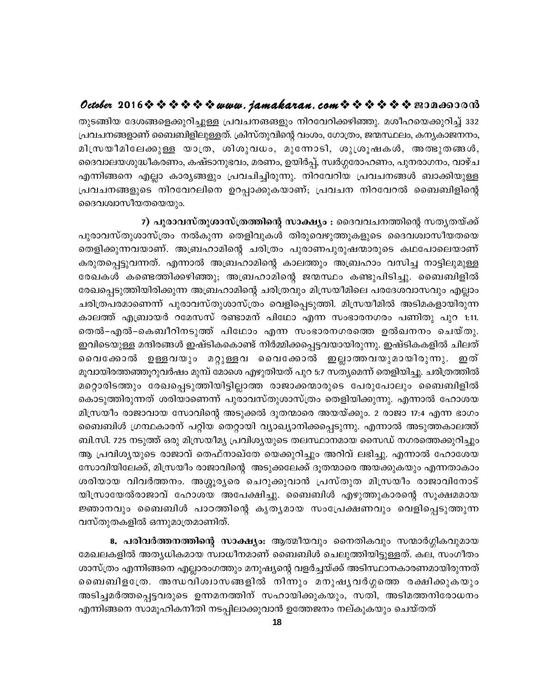## October 2016  $\diamond \diamond \diamond \diamond \diamond \diamond w$  were. jamakaran. com  $\diamond \diamond \diamond \diamond \diamond \diamond \diamond w$

തുടങ്ങിയ ദേശങ്ങളെക്കുറിച്ചുള്ള പ്രവചനങങളും നിറവേറിക്കഴിഞ്ഞു. മശീഹയെക്കുറിച്ച് 332 പ്രവചനങ്ങളാണ് ബൈബിളിലുള്ളത്. ക്രിസ്തുവിന്റെ വംശം, ഗോത്രം, ജന്മസ്ഥലം, കന്യകാജനനം, മിസ്രയീമിലേക്കുള്ള യാത്ര, ശിശുവധം, മുന്നോടി, ശുശ്രൂഷകൾ, അത്ഭുതങ്ങൾ, ദൈവാലയശുദ്ധീകരണം, കഷ്ടാനുഭവം, മരണം, ഉയിർപ്പ്, സ്വർഗ്ഗരോഹണം, പുനരാഗനം, വാഴ്ച എന്നിങ്ങനെ എല്ലാ കാര്യങ്ങളും പ്രവചിച്ചിരുന്നു. നിറവേറിയ പ്രവചനങ്ങൾ ബാക്കിയുള്ള പ്രവചനങ്ങളുടെ നിറവേറലിനെ ഉറപ്പാക്കുകയാണ്; പ്രവചന നിറവേറൽ ബൈബിളിന്റെ ദൈവശ്വാസീയതയെയും.

<u>7) പുരാവസ്തുശാസ്ത്രത്തിന്റെ സാക്ഷ്യം : ദൈവവചനത്തിന്റെ സതൃതയ്ക്ക്</u> പുരാവസ്തുശാസ്ത്രം നൽകുന്ന തെളിവുകൾ തിരുവെഴുത്തുകളുടെ ദൈവശ്വാസീയതയെ തെളിക്കുന്നവയാണ്. അബ്രഹാമിന്റെ ചരിത്രം പുരാണപുരുഷന്മാരുടെ കഥപോലെയാണ് കരുതപ്പെട്ടുവന്നത്. എന്നാൽ അബ്രഹാമിന്റെ കാലത്തും അബ്രഹാം വസിച്ച നാട്ടിലുമുള്ള രേഖകൾ കണ്ടെത്തിക്കഴിഞ്ഞു; അബ്രഹാമിന്റെ ജന്മസ്ഥം കണ്ടുപിടിച്ചു. ബൈബിളിൽ രേഖപ്പെടുത്തിയിരിക്കുന്ന അബ്രഹാമിന്റെ ചരിത്രവും മിസ്രയീമിലെ പരദേശവാസവും എല്ലാം ചരിത്രപരമാണെന്ന് പുരാവസ്തുശാസ്ത്രം വെളിപ്പെടുത്തി. മിസ്രയീമിൽ അടിമകളായിരുന്ന കാലത്ത് എബ്രായർ റമേസസ് രണ്ടാമന് പിഥോ എന്ന സംഭാരനഗരം പണിതു പുറ 1:11. തെൽ–എൽ–കെബീറിനടുത്ത് പിഥോം എന്ന സംഭാരനഗരത്തെ ഉൽഖനനം ചെയ്തു. ഇവിടെയുള്ള മന്ദിരങ്ങൾ ഇഷ്ടികകൊണ്ട് നിർമ്മിക്കപ്പെട്ടവയായിരുന്നു. ഇഷ്ടികകളിൽ ചിലത് വൈക്കോൽ ഉള്ളവയും മറ്റുള്ളവ വൈക്കോൽ ഇല്ലാത്തവയുമായിരുന്നു. ഇത് മൂവായിരത്തഞ്ഞൂറുവർഷം മുമ്പ് മോശെ എഴുതിയത് പുറ 5:7 സത്യമെന്ന് തെളിയിച്ചു. ചരിത്രത്തിൽ മറ്റൊരിടത്തും രേഖപ്പെടുത്തിയിട്ടില്ലാത്ത രാജാക്കന്മാരുടെ പേരുപോലും ബൈബിളിൽ കൊടുത്തിരുന്നത് ശരിയാണെന്ന് പുരാവസ്തുശാസ്ത്രം തെളിയിക്കുന്നു. എന്നാൽ ഹോശയ മിസ്രയീം രാജാവായ സോവിന്റെ അടുക്കൽ ദൂതന്മാരെ അയയ്ക്കും. 2 രാജാ 17:4 എന്ന ഭാഗം ബൈബിൾ ഗ്രന്ഥകാരന് പറ്റിയ തെറ്റായി വ്യാഖ്യാനിക്കപ്പെടുന്നു. എന്നാൽ അടുത്തകാലത്ത് ബി.സി. 725 നടുത്ത് ഒരു മിസ്രയീമ്യ പ്രവിശ്യയുടെ തലസ്ഥാനമായ സൈഡ് നഗരത്തെക്കുറിച്ചും ആ പ്രവിശ്യയുടെ രാജാവ് തെഫ്നാഖ്തേ യെക്കുറിച്ചും അറിവ് ലഭിച്ചു. എന്നാൽ ഹോശേയ സോവിയിലേക്ക്, മിസ്രയീം രാജാവിന്റെ അടുക്കലേക്ക് ദൂതന്മാരെ അയക്കുകയും എന്നതാകാം ശരിയായ വിവർത്തനം. അശ്ശൂരൃരെ ചെറുക്കുവാൻ പ്രസ്തുത മിസ്രയീം രാജാവിനോട് യിസ്രായേൽരാജാവ് ഹോശയ അപേക്ഷിച്ചു. ബൈബിൾ എഴുത്തുകാരന്റെ സൂക്ഷമമായ ജ്ഞാനവും ബൈബിൾ പാഠത്തിന്റെ കൃതൃമായ സംപ്രേക്ഷണവും വെളിപ്പെടുത്തുന്ന വസ്തുതകളിൽ ഒന്നുമാത്രമാണിത്.

8. പരിവർത്തനത്തിന്റെ സാക്ഷ്യം: ആത്മീയവും നൈതികവും സന്മാർഗ്ഗികവുമായ മേഖലകളിൽ അതൃധികമായ സ്വാധീനമാണ് ബൈബിൾ ചെലുത്തിയിട്ടുള്ളത്. കല, സംഗീതം ശാസ്ത്രം എന്നിങ്ങനെ എല്ലാരംഗത്തും മനുഷ്യന്റെ വളർച്ചയ്ക്ക് അടിസ്ഥാനകാരണമായിരുന്നത് ബൈബിളത്രേ. അന്ധവിശ്വാസങ്ങളിൽ നിന്നും മനുഷൃവർഗ്ഗത്തെ രക്ഷിക്കുകയും അടിച്ചമർത്തപ്പെട്ടവരുടെ ഉന്നമനത്തിന് സഹായിക്കുകയും, സതി, അടിമത്തനിരോധനം എന്നിങ്ങനെ സാമൂഹികനീതി നടപ്പിലാക്കുവാൻ ഉത്തേജനം നല്കുകയും ചെയ്തത്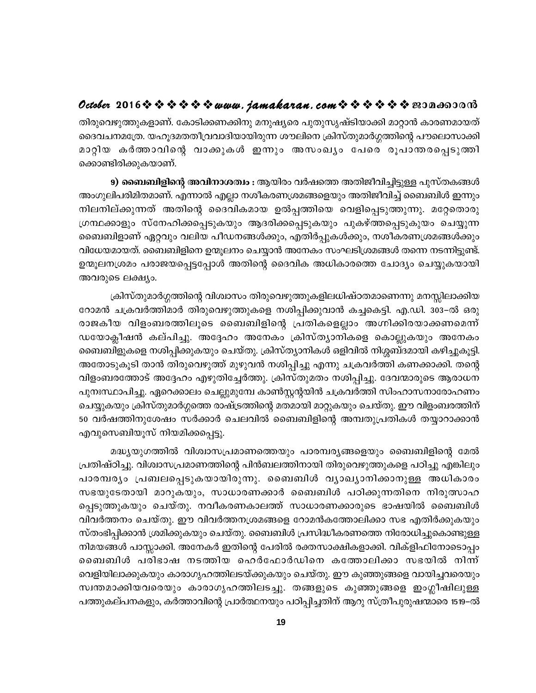തിരുവെഴുത്തുകളാണ്. കോടിക്കണക്കിനു മനുഷ്യരെ പുതുസൃഷ്ടിയാക്കി മാറ്റാൻ കാരണമായത് ദൈവചനമത്രേ. യഹൂദമതതീവ്രവാദിയായിരുന്ന ശൗലിനെ ക്രിസ്തുമാർഗ്ഗത്തിന്റെ പൗലൊസാക്കി മാറ്റിയ കർത്താവിന്റെ വാക്കുകൾ ഇന്നും അസംഖ്യം പേരെ രൂപാന്തരപ്പെടുത്തി ക്കൊണ്ടിരിക്കുകയാണ്.

9) **ബൈബിളിന്റെ അവിനാശത്വം :** ആയിരം വർഷത്തെ അതിജീവിച്ചിട്ടുള്ള പുസ്തകങ്ങൾ അംഗുലിപരിമിതമാണ്. എന്നാൽ എല്ലാ നശീകരണശ്രമങ്ങളെയും അതിജീവിച്ച് ബൈബിൾ ഇന്നും നിലനില്ക്കുന്നത് അതിന്റെ ദൈവികമായ ഉൽപ്പത്തിയെ വെളിപ്പെടുത്തുന്നു. മറ്റേതൊരു ഗ്രന്ഥക്കാളും സ്നേഹിക്കപ്പെടുകയും ആദരിക്കപ്പെടുകയും പുകഴ്ത്തപ്പെടുകുയം ചെയ്യുന്ന ബൈബിളാണ് ഏറ്റവും വലിയ പീഡനങ്ങൾക്കും, എതിർപ്പുകൾക്കും, നശീകരണശ്രമങ്ങൾക്കും വിധേയമായത്. ബൈബിളിനെ ഉന്മൂലനം ചെയ്യാൻ അനേകം സംഘടിശ്രമങ്ങൾ തന്നെ നടന്നിട്ടുണ്ട്. ഉന്മൂലനശ്രമം പരാജയപ്പെട്ടപ്പോൾ അതിന്റെ ദൈവിക അധികാരത്തെ ചോദ്യം ചെയ്യുകയായി അവരുടെ ലക്ഷ്യം.

ക്രിസ്തുമാർഗ്ഗത്തിന്റെ വിശ്വാസം തിരുവെഴുത്തുകളിലധിഷ്ഠതമാണെന്നു മനസ്സിലാക്കിയ റോമൻ ചക്രവർത്തിമാർ തിരുവെഴുത്തുകളെ നശിപ്പിക്കുവാൻ കച്ചകെട്ടി. എ.ഡി. 303–ൽ ഒരു രാജകീയ വിളംബരത്തിലൂടെ ബൈബിളിന്റെ പ്രതികളെല്ലാം അഗ്നിക്കിരയാക്കണമെന്ന് ഡയോക്ലീഷൻ കല്പിച്ചു. അദ്ദേഹം അനേകം ക്രിസ്ത്യാനികളെ കൊല്ലുകയും അനേകം ബൈബിളുകളെ നശിപ്പിക്കുകയും ചെയ്തു. ക്രിസ്ത്യാനികൾ ഒളിവിൽ നിശ്ശബ്ദമായി കഴിച്ചുകൂട്ടി. അതോടുകൂടി താൻ തിരുവെഴുത്ത് മുഴുവൻ നശിപ്പിച്ചു എന്നു ചക്രവർത്തി കണക്കാക്കി. തന്റെ വിളംബരത്തോട് അദ്ദേഹം എഴുതിച്ചേർത്തു. ക്രിസ്തുമതം നശിപ്പിച്ചു. ദേവന്മാരുടെ ആരാധന പുനഃസ്ഥാപിച്ചു. ഏറെക്കാലം ചെല്ലുമുമ്പേ കാൺസ്റ്റന്റയിൻ ചക്രവർത്തി സിംഹാസനാരോഹണം ചെയ്യുകയും ക്രിസ്തുമാർഗ്ഗത്തെ രാഷ്ട്രത്തിന്റെ മതമായി മാറ്റുകയും ചെയ്തു. ഈ വിളംബരത്തിന് 50 വർഷത്തിനുശേഷം സർക്കാർ ചെലവിൽ ബൈബിളിന്റെ അമ്പതുപ്രതികൾ തയ്യാറാക്കാൻ എവുസെബിയൂസ് നിയമിക്കപ്പെട്ടു.

മദ്ധ്യയുഗത്തിൽ വിശ്വാസപ്രമാണത്തെയും പാരമ്പര്യങ്ങളെയും ബൈബിളിന്റെ മേൽ പ്രതിഷ്ഠിച്ചു. വിശ്വാസപ്രമാണത്തിന്റെ പിൻബലത്തിനായി തിരുവെഴുത്തുകളെ പഠിച്ചു എങ്കിലും പാരമ്പര്യം പ്രബലപ്പെടുകയായിരുന്നു. ബൈബിൾ വ്യാഖ്യാനിക്കാനുള്ള അധികാരം സഭയുടേതായി മാറുകയും, സാധാരണക്കാർ ബൈബിൾ പഠിക്കുന്നതിനെ നിരുത്സാഹ പ്പെടുത്തുകയും ചെയ്തു. നവീകരണകാലത്ത് സാധാരണക്കാരുടെ ഭാഷയിൽ ബൈബിൾ വിവർത്തനം ചെയ്തു. ഈ വിവർത്തനശ്രമങ്ങളെ റോമൻകത്തോലിക്കാ സഭ എതിർക്കുകയും സ്തംഭിപ്പിക്കാൻ ശ്രമിക്കുകയും ചെയ്തു. ബൈബിൾ പ്രസിദ്ധീകരണത്തെ നിരോധിച്ചുകൊണ്ടുള്ള നിമയങ്ങൾ പാസ്സാക്കി. അനേകർ ഇതിന്റെ പേരിൽ രക്തസാക്ഷികളാക്കി. വിക്ളിഫിനോടൊപ്പം ബൈബിൾ പരിഭാഷ നടത്തിയ ഹെർഫോർഡിനെ കത്തോലിക്കാ സഭയിൽ നിന്ന് വെളിയിലാക്കുകയും കാരാഗൃഹത്തിലടയ്ക്കുകയും ചെയ്തു. ഈ കുഞ്ഞുങ്ങളെ വായിച്ചവരെയും സ്വന്തമാക്കിയവരെയും കാരാഗൃഹത്തിലടച്ചു. തങ്ങളുടെ കുഞ്ഞുങ്ങളെ ഇംഗ്ലീഷിലുള്ള പത്തുകല്പനകളും, കർത്താവിന്റെ പ്രാർത്ഥനയും പഠിപ്പിച്ചതിന് ആറു സ്ത്രീപുരുഷന്മാരെ 1519–ൽ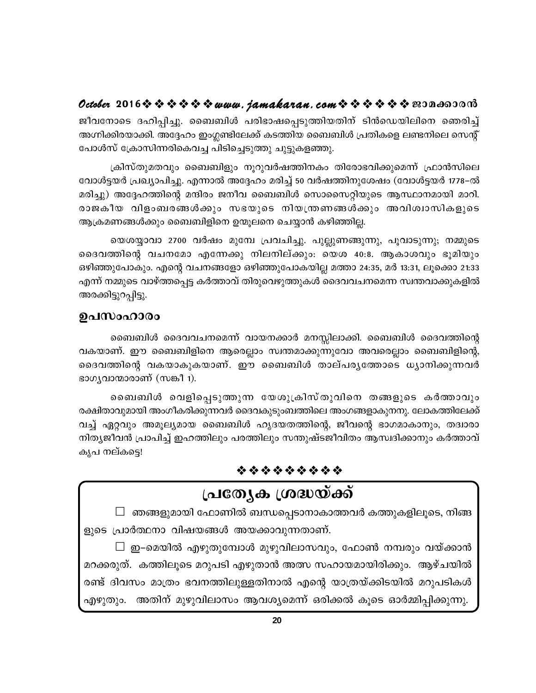ജീവനോടെ ദഹിപ്പിച്ചു. ബൈബിൾ പരിഭാഷപ്പെടുത്തിയതിന് ടിൻഡെയിലിനെ ഞെരിച്ച് അഗ്നിക്കിരയാക്കി. അദ്ദേഹം ഇംഗ്ലണ്ടിലേക്ക് കടത്തിയ ബൈബിൾ പ്രതികളെ ലണ്ടനിലെ സെന്റ് പോൾസ് ക്രോസിന്നരികെവച്ച പിടിച്ചെടുത്തു ചുട്ടുകളഞ്ഞു.

ക്രിസ്തുമതവും ബൈബിളും നൂറുവർഷത്തിനകം തിരോഭവിക്കുമെന്ന് ഫ്രാൻസിലെ വോൾട്ടയർ പ്രഖ്യാപിച്ചു. എന്നാൽ അദ്ദേഹം മരിച്ച് 50 വർഷത്തിനുശേഷം (വോൾട്ടയർ 1778–ൽ മരിച്ചു) അദ്ദേഹത്തിന്റെ മന്ദിരം ജനീവ ബൈബിൾ സൊസൈറ്റിയുടെ ആസ്ഥാനമായി മാറി. രാജകീയ വിളംബരങ്ങൾക്കും സഭയുടെ നിയന്ത്രണങ്ങൾക്കും അവിശ്വാസികളുടെ ആക്രമണങ്ങൾക്കും ബൈബിളിനെ ഉന്മൂലനെ ചെയ്യാൻ കഴിഞ്ഞില്ല.

യെശയ്യാവാ 2700 വർഷം മുമ്പേ പ്രവചിച്ചു. പുല്ലുണങ്ങുന്നു, പൂവാടുന്നു; നമ്മുടെ ദൈവത്തിന്റെ വചനമോ എന്നേക്കു നിലനില്ക്കും. യെശ 40:8. ആകാശവും ഭൂമിയും ഒഴിഞ്ഞുപോകും. എന്റെ വചനങ്ങളോ ഒഴിഞ്ഞുപോകയില്ല മത്താ 24:35, മർ 13:31, ലൂക്കൊ 21:33 എന്ന് നമ്മുടെ വാഴ്ത്തപ്പെട്ട കർത്താവ് തിരുവെഴുത്തുകൾ ദൈവവചനമെന്ന സ്വന്തവാക്കുകളിൽ അരക്കിട്ടുറപ്പിട്ടു.

## ഉപസംഹാരം

ബൈബിൾ ദൈവവചനമെന്ന് വായനക്കാർ മനസ്സിലാക്കി. ബൈബിൾ ദൈവത്തിന്റെ വകയാണ്. ഈ ബൈബിളിനെ ആരെല്ലാം സ്വന്തമാക്കുന്നുവോ അവരെല്ലാം ബൈബിളിന്റെ, ദൈവത്തിന്റെ വകയാകുകയാണ്. ഈ ബൈബിൾ താല്പരൃത്തോടെ ധ്യാനിക്കുന്നവർ ഭാഗൃവാന്മാരാണ് (സങ്കീ 1).

ബൈബിൾ വെളിപ്പെടുത്തുന്ന യേശുക്രിസ്തുവിനെ തങ്ങളുടെ കർത്താവും രക്ഷിതാവുമായി അംഗീകരിക്കുന്നവർ ദൈവകുടുംബത്തിലെ അംഗങ്ങളാകുനനു. ലോകത്തിലേക്ക് വച്ച് ഏറ്റവും അമൂല്യമായ ബൈബിൾ ഹൃദയതത്തിന്റെ, ജീവന്റെ ഭാഗമാകാനും, തദ്വാരാ നിത്യജീവൻ പ്രാപിച്ച് ഇഹത്തിലും പരത്തിലും സന്തുഷ്ടജീവിതം ആസ്വദിക്കാനും കർത്താവ് കൃപ നല്കട്ടെ!

## \* \* \* \* \* \* \* \* \*

## <u>പ്രത്യേക ശ്രദ്ധയ്ക്ക്</u>

 $\Box$  ഞങ്ങളുമായി ഫോണിൽ ബന്ധപ്പെടാനാകാത്തവർ കത്തുകളിലൂടെ, നിങ്ങ ളുടെ പ്രാർത്ഥനാ വിഷയങ്ങൾ അയക്കാവുന്നതാണ്.

 $\Box$  ഇ–മെയിൽ എഴുതുമ്പോൾ മുഴുവിലാസവും, ഫോൺ നമ്പരും വയ്ക്കാൻ മറക്കരുത്. കത്തിലൂടെ മറുപടി എഴുതാൻ അത്സ സഹായമായിരിക്കും. ആഴ്ചയിൽ രണ്ട് ദിവസം മാത്രം ഭവനത്തിലുള്ളതിനാൽ എന്റെ യാത്രയ്ക്കിടയിൽ മറുപടികൾ എഴുതും. അതിന് മുഴുവിലാസം ആവശ്യമെന്ന് ഒരിക്കൽ കൂടെ ഓർമ്മിപ്പിക്കുന്നു.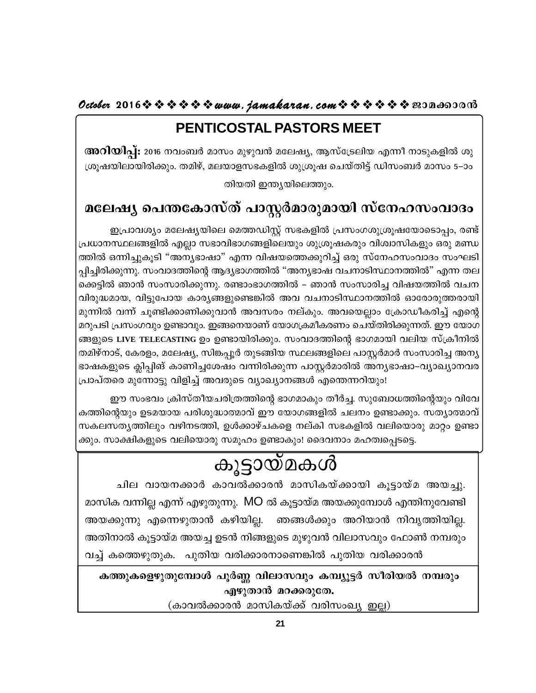## PENTICOSTAL PASTORS MEET

അറിയിപ്പ്: 2016 നവംബർ മാസം മുഴുവൻ മലേഷ്യ, ആസ്ട്രേലിയ എന്നീ നാടുകളിൽ ശു ശ്രൂഷയിലായിരിക്കും. തമിഴ്, മലയാളസഭകളിൽ ശുശ്രൂഷ ചെയ്തിട്ട് ഡിസംബർ മാസം 5–ാം തിയതി ഇന്ത്യയിലെത്തും.

## മലേഷ്യ പെന്തകോസ്ത് പാസ്റ്റർമാരുമായി സ്നേഹസംവാദം

ഇപ്രാവശ്യം മലേഷ്യയിലെ മെത്തഡിസ്റ്റ് സഭകളിൽ പ്രസംഗശുശ്രൂഷയോടൊപ്പം, രണ്ട് പ്രധാനസ്ഥലങ്ങളിൽ എല്ലാ സഭാവിഭാഗങ്ങളിലെയും ശുശ്രൂഷകരും വിശ്വാസികളും ഒരു മണ്ഡ ത്തിൽ ഒന്നിച്ചുകൂടി "അന്യഭാഷാ" എന്ന വിഷയത്തെക്കുറിച്ച് ഒരു സ്നേഹസംവാദം സംഘടി പ്പിച്ചിരിക്കുന്നു. സംവാദത്തിന്റെ ആദ്യഭാഗത്തിൽ "അന്യഭാഷ വചനാടിസ്ഥാനത്തിൽ" എന്ന തല ക്കെട്ടിൽ ഞാൻ സംസാരിക്കുന്നു. രണ്ടാംഭാഗത്തിൽ – ഞാൻ സംസാരിച്ച വിഷയത്തിൽ വചന വിരുദ്ധമായ, വിട്ടുപോയ കാര്യങ്ങളുണ്ടെങ്കിൽ അവ വചനാടിസ്ഥാനത്തിൽ ഓരോരുത്തരായി മുന്നിൽ വന്ന് ചൂണ്ടിക്കാണിക്കുവാൻ അവസരം നല്കും. അവയെല്ലാം ക്രോഡീകരിച്ച് എന്റെ മറുപടി പ്രസംഗവും ഉണ്ടാവും. ഇങ്ങനെയാണ് യോഗക്രമീകരണം ചെയ്തിരിക്കുന്നത്. ഈ യോഗ ങ്ങളുടെ LIVE TELECASTING ഉം ഉണ്ടായിരിക്കും. സംവാദത്തിന്റെ ഭാഗമായി വലിയ സ്ക്രീനിൽ തമിഴ്നാട്, കേരളം, മലേഷ്യ, സിങ്കപ്പൂർ തുടങ്ങിയ സ്ഥലങ്ങളിലെ പാസ്റ്റർമാർ സംസാരിച്ച അന്യ ഭാഷകളുടെ ക്ലിപ്പിങ് കാണിച്ചശേഷം വന്നിരിക്കുന്ന പാസ്റ്റർമാരിൽ അന്യഭാഷാ–വ്യാഖ്യാനവര പ്രാപ്തരെ മുന്നോട്ടു വിളിച്ച് അവരുടെ വ്യാഖ്യാനങ്ങൾ എന്തെന്നറിയും!

ഈ സംഭവം ക്രിസ്തീയചരിത്രത്തിന്റെ ഭാഗമാകും തീർച്ച. സുബോധത്തിന്റെയും വിവേ കത്തിന്റെയും ഉടമയായ പരിശുദ്ധാത്മാവ് ഈ യോഗങ്ങളിൽ ചലനം ഉണ്ടാക്കും. സത്യാത്മാവ് സകലസത്യത്തിലും വഴിനടത്തി, ഉൾക്കാഴ്ചകളെ നല്കി സഭകളിൽ വലിയൊരു മാറ്റം ഉണ്ടാ ക്കും. സാക്ഷികളുടെ വലിയൊരു സമൂഹം ഉണ്ടാകും! ദൈവനാം മഹത്വപ്പെടട്ടെ.

## കൂട്ടായ്മകൾ

ചില വായനക്കാർ കാവൽക്കാരൻ മാസികയ്ക്കായി കൂട്ടായ്മ അയച്ചു. മാസിക വന്നില്ല എന്ന് എഴുതുന്നു. MO ൽ കൂട്ടായ്മ അയക്കുമ്പോൾ എന്തിനുവേണ്ടി അയക്കുന്നു എന്നെഴുതാൻ കഴിയില്ല. ഞങ്ങൾക്കും അറിയാൻ നിവൃത്തിയില്ല. അതിനാൽ കൂട്ടായ്മ അയച്ച ഉടൻ നിങ്ങളുടെ മുഴുവൻ വിലാസവും ഫോൺ നമ്പരും വച്ച് കത്തെഴുതുക. പുതിയ വരിക്കാരനാണെങ്കിൽ പുതിയ വരിക്കാരൻ

കത്തുകളെഴുതുമ്പോൾ പൂർണ്ണ വിലാസവും കമ്പ്യൂട്ടർ സീരിയൽ നമ്പരും എഴുതാൻ മറക്കരുതേ.

(കാവൽക്കാരൻ മാസികയ്ക്ക് വരിസംഖ്യ ഇല്ല)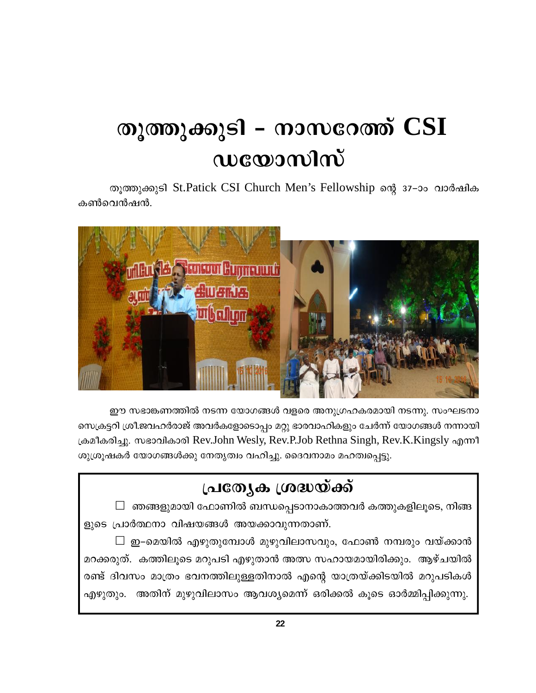# തൂത്തുക്കുടി – നാസറേത്ത് CSI wcoonlm

തൂത്തുക്കുടി St.Patick CSI Church Men's Fellowship ന്റെ 37-ാം വാർഷിക കൺവെൻഷൻ.



ഈ സഭാങ്കണത്തിൽ നടന്ന യോഗങ്ങൾ വളരെ അനുഗ്രഹകരമായി നടന്നു. സംഘടനാ സെക്രട്ടറി ശ്രീ.ജവഹർരാജ് അവർകളോടൊപ്പം മറ്റു ഭാരവാഹികളും ചേർന്ന് യോഗങ്ങൾ നന്നായി ക്രമീകരിച്ചു. സഭാവികാരി Rev.John Wesly, Rev.P.Job Rethna Singh, Rev.K.Kingsly എന്നീ ശുശ്രൂഷകർ യോഗങ്ങൾക്കു നേതൃത്വം വഹിച്ചു. ദൈവനാമം മഹത്വപ്പെട്ടു.

# പ്രത്യേക ശ്രദ്ധയ്ക്ക്

 $\Box$  ഞങ്ങളുമായി ഫോണിൽ ബന്ധപ്പെടാനാകാത്തവർ കത്തുകളിലൂടെ, നിങ്ങ ളുടെ പ്രാർത്ഥനാ വിഷയങ്ങൾ അയക്കാവുന്നതാണ്.

 $\Box$  ഇ–മെയിൽ എഴുതുമ്പോൾ മുഴുവിലാസവും, ഫോൺ നമ്പരും വയ്ക്കാൻ മറക്കരുത്. കത്തിലുടെ മറുപടി എഴുതാൻ അത്സ സഹായമായിരിക്കും. ആഴ്ചയിൽ രണ്ട് ദിവസം മാത്രം ഭവനത്തിലുള്ളതിനാൽ എന്റെ യാത്രയ്ക്കിടയിൽ മറുപടികൾ എഴുതും. അതിന് മുഴുവിലാസം ആവശ്യമെന്ന് ഒരിക്കൽ കൂടെ ഓർമ്മിപ്പിക്കുന്നു.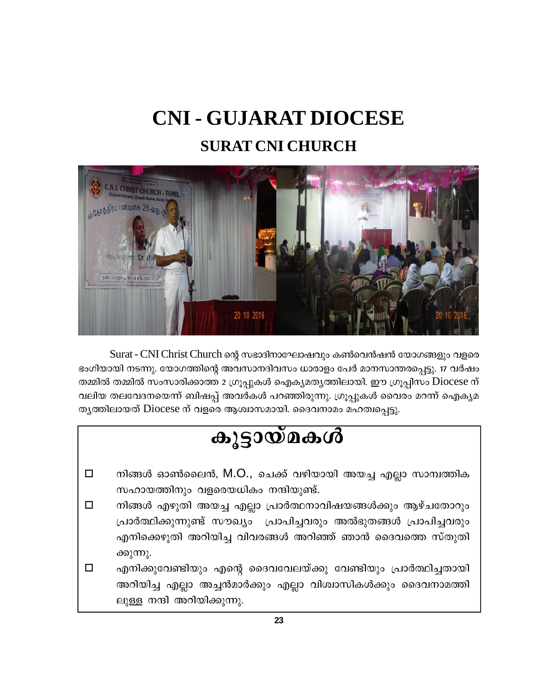## **CNI - GUJARAT DIOCESE SURAT CNI CHURCH**



Surat - CNI Christ Church ന്റെ സഭാദിനാഘോഷവും കൺവെൻഷൻ യോഗങ്ങളും വളരെ ഭംഗിയായി നടന്നു. യോഗത്തിന്റെ അവസാനദിവസം ധാരാളം പേർ മാനസാന്തരപ്പെട്ടു. 17 വർഷം തമ്മിൽ തമ്മിൽ സംസാരിക്കാത്ത 2 ഗ്രൂപ്പുകൾ ഐക്യമത്യത്തിലായി. ഈ ഗ്രൂപ്പിസം Diocese ന് വലിയ തലവേദനയെന്ന് ബിഷപ്പ് അവർകൾ പറഞ്ഞിരുന്നു. ഗ്രൂപ്പുകൾ വൈരം മറന്ന് ഐകൃമ തൃത്തിലായത് Diocese ന് വളരെ ആശ്വാസമായി. ദൈവനാമം മഹത്വപ്പെട്ടു.

## കൂട്ടായ്മകൾ

- നിങ്ങൾ ഓൺലൈൻ, M.O., ചെക്ക് വഴിയായി അയച്ച എല്ലാ സാമ്പത്തിക □ സഹായത്തിനും വളരെയധികം നന്ദിയുണ്ട്.
- $\Box$ നിങ്ങൾ എഴുതി അയച്ച എല്ലാ പ്രാർത്ഥനാവിഷയങ്ങൾക്കും ആഴ്ചതോറും പ്രാർത്ഥിക്കുന്നുണ്ട് സൗഖ്യം പ്രാപിച്ചവരും അൽഭുതങ്ങൾ പ്രാപിച്ചവരും എനിക്കെഴുതി അറിയിച്ച വിവരങ്ങൾ അറിഞ്ഞ് ഞാൻ ദൈവത്തെ സ്തുതി ക്കുന്നു.
- $\Box$ എനിക്കുവേണ്ടിയും എന്റെ ദൈവവേലയ്ക്കു വേണ്ടിയും പ്രാർത്ഥിച്ചതായി അറിയിച്ച എല്ലാ അച്ചൻമാർക്കും എല്ലാ വിശ്വാസികൾക്കും ദൈവനാമത്തി ലുള്ള നന്ദി അറിയിക്കുന്നു.